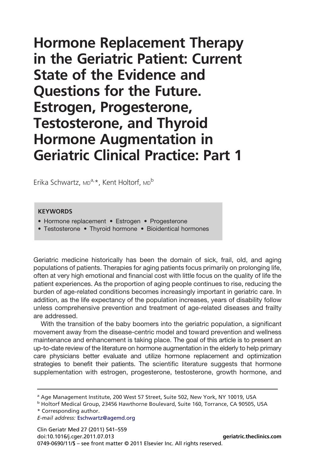## **Hormone Replacement Therapy in the Geriatric Patient: Current State of the Evidence and Questions for the Future. Estrogen, Progesterone, Testosterone, and Thyroid Hormone Augmentation in Geriatric Clinical Practice: Part 1**

Erika Schwartz, MD<sup>a,\*</sup>, Kent Holtorf, MD<sup>b</sup>

#### **KEYWORDS**

- Hormone replacement Estrogen Progesterone
- Testosterone Thyroid hormone Bioidentical hormones

Geriatric medicine historically has been the domain of sick, frail, old, and aging populations of patients. Therapies for aging patients focus primarily on prolonging life, often at very high emotional and financial cost with little focus on the quality of life the patient experiences. As the proportion of aging people continues to rise, reducing the burden of age-related conditions becomes increasingly important in geriatric care. In addition, as the life expectancy of the population increases, years of disability follow unless comprehensive prevention and treatment of age-related diseases and frailty are addressed.

With the transition of the baby boomers into the geriatric population, a significant movement away from the disease-centric model and toward prevention and wellness maintenance and enhancement is taking place. The goal of this article is to present an up-to-date review of the literature on hormone augmentation in the elderly to help primary care physicians better evaluate and utilize hormone replacement and optimization strategies to benefit their patients. The scientific literature suggests that hormone supplementation with estrogen, progesterone, testosterone, growth hormone, and

\* Corresponding author.

*E-mail address:* [Eschwartz@agemd.org](mailto:Eschwartz@agemd.org)

<sup>&</sup>lt;sup>a</sup> Age Management Institute, 200 West 57 Street, Suite 502, New York, NY 10019, USA

<sup>b</sup> Holtorf Medical Group, 23456 Hawthorne Boulevard, Suite 160, Torrance, CA 90505, USA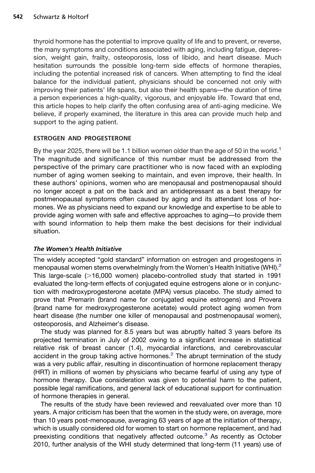thyroid hormone has the potential to improve quality of life and to prevent, or reverse, the many symptoms and conditions associated with aging, including fatigue, depression, weight gain, frailty, osteoporosis, loss of libido, and heart disease. Much hesitation surrounds the possible long-term side effects of hormone therapies, including the potential increased risk of cancers. When attempting to find the ideal balance for the individual patient, physicians should be concerned not only with improving their patients' life spans, but also their health spans—the duration of time a person experiences a high-quality, vigorous, and enjoyable life. Toward that end, this article hopes to help clarify the often confusing area of anti-aging medicine. We believe, if properly examined, the literature in this area can provide much help and support to the aging patient.

#### **ESTROGEN AND PROGESTERONE**

By the year 2025, there will be [1](#page-9-0).1 billion women older than the age of 50 in the world.<sup>1</sup> The magnitude and significance of this number must be addressed from the perspective of the primary care practitioner who is now faced with an exploding number of aging women seeking to maintain, and even improve, their health. In these authors' opinions, women who are menopausal and postmenopausal should no longer accept a pat on the back and an antidepressant as a best therapy for postmenopausal symptoms often caused by aging and its attendant loss of hormones. We as physicians need to expand our knowledge and expertise to be able to provide aging women with safe and effective approaches to aging—to provide them with sound information to help them make the best decisions for their individual situation.

#### *The Women's Health Initiative*

The widely accepted "gold standard" information on estrogen and progestogens in menopausal women stems overwhelmingly from the Women's Health Initiative (WHI).<sup>2</sup> This large-scale  $(>16,000$  women) placebo-controlled study that started in 1991 evaluated the long-term effects of conjugated equine estrogens alone or in conjunction with medroxyprogesterone acetate (MPA) versus placebo. The study aimed to prove that Premarin (brand name for conjugated equine estrogens) and Provera (brand name for medroxyprogesterone acetate) would protect aging women from heart disease (the number one killer of menopausal and postmenopausal women), osteoporosis, and Alzheimer's disease.

The study was planned for 8.5 years but was abruptly halted 3 years before its projected termination in July of 2002 owing to a significant increase in statistical relative risk of breast cancer (1.4), myocardial infarctions, and cerebrovascular accident in the group taking active hormones.<sup>[2](#page-9-1)</sup> The abrupt termination of the study was a very public affair, resulting in discontinuation of hormone replacement therapy (HRT) in millions of women by physicians who became fearful of using any type of hormone therapy. Due consideration was given to potential harm to the patient, possible legal ramifications, and general lack of educational support for continuation of hormone therapies in general.

The results of the study have been reviewed and reevaluated over more than 10 years. A major criticism has been that the women in the study were, on average, more than 10 years post-menopause, averaging 63 years of age at the initiation of therapy, which is usually considered old for women to start on hormone replacement, and had preexisting conditions that negatively affected outcome. $3$  As recently as October 2010, further analysis of the WHI study determined that long-term (11 years) use of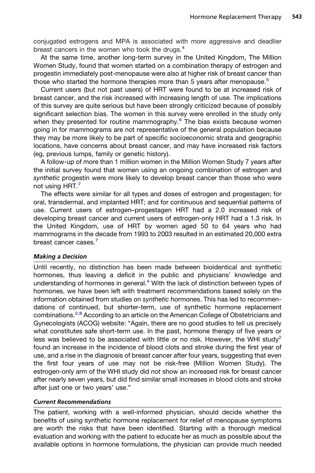conjugated estrogens and MPA is associated with more aggressive and deadlier breast cancers in the women who took the drugs.<sup>4</sup>

At the same time, another long-term survey in the United Kingdom, The Million Women Study, found that women started on a combination therapy of estrogen and progestin immediately post-menopause were also at higher risk of breast cancer than those who started the hormone therapies more than 5 years after menopause.<sup>5</sup>

Current users (but not past users) of HRT were found to be at increased risk of breast cancer, and the risk increased with increasing length of use. The implications of this survey are quite serious but have been strongly criticized because of possibly significant selection bias. The women in this survey were enrolled in the study only when they presented for routine mammography. $6$  The bias exists because women going in for mammograms are not representative of the general population because they may be more likely to be part of specific socioeconomic strata and geographic locations, have concerns about breast cancer, and may have increased risk factors (eg, previous lumps, family or genetic history).

A follow-up of more than 1 million women in the Million Women Study 7 years after the initial survey found that women using an ongoing combination of estrogen and *synthetic* progestin were more likely to develop breast cancer than those who were not using HRT.<sup>7</sup>

The effects were similar for all types and doses of estrogen and progestagen; for oral, transdermal, and implanted HRT; and for continuous and sequential patterns of use. Current users of estrogen–progestagen HRT had a 2.0 increased risk of developing breast cancer and current users of estrogen-only HRT had a 1.3 risk. In the United Kingdom, use of HRT by women aged 50 to 64 years who had mammograms in the decade from 1993 to 2003 resulted in an estimated 20,000 extra breast cancer cases.<sup>7</sup>

#### *Making a Decision*

Until recently, no distinction has been made between bioidentical and synthetic hormones, thus leaving a deficit in the public and physicians' knowledge and understanding of hormones in general. $4$  With the lack of distinction between types of hormones, we have been left with treatment recommendations based solely on the information obtained from studies on *synthetic* hormones. This has led to recommendations of continued, but shorter-term, use of synthetic hormone replacement combinations.<sup>2,8</sup> According to an article on the American College of Obstetricians and Gynecologists (ACOG) website: "Again, there are no good studies to tell us precisely what constitutes safe short-term use. In the past, hormone therapy of five years or less was believed to be associated with little or no risk. However, the WHI study<sup>2</sup> found an increase in the incidence of blood clots and stroke during the first year of use, and a rise in the diagnosis of breast cancer after four years, suggesting that even the first four years of use may not be risk-free (Million Women Study). The estrogen-only arm of the WHI study did *not* show an increased risk for breast cancer after nearly seven years, but did find similar small increases in blood clots and stroke after just one or two years' use."

#### *Current Recommendations*

The patient, working with a well-informed physician, should decide whether the benefits of using synthetic hormone replacement for relief of menopause symptoms are worth the risks that have been identified. Starting with a thorough medical evaluation and working with the patient to educate her as much as possible about the available options in hormone formulations, the physician can provide much needed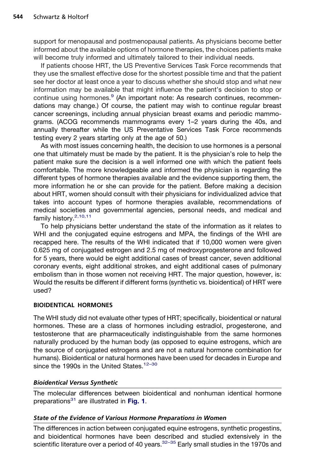support for menopausal and postmenopausal patients. As physicians become better informed about the available options of hormone therapies, the choices patients make will become truly informed and ultimately tailored to their individual needs.

If patients choose HRT, the US Preventive Services Task Force recommends that they use the smallest effective dose for the shortest possible time and that the patient see her doctor at least once a year to discuss whether she should stop and what new information may be available that might influence the patient's decision to stop or continue using hormones.<sup>9</sup> (An important note: As research continues, recommendations may change.) Of course, the patient may wish to continue regular breast cancer screenings, including annual physician breast exams and periodic mammograms. (ACOG recommends mammograms every 1–2 years during the 40s, and annually thereafter while the US Preventative Services Task Force recommends testing every 2 years starting only at the age of 50.)

As with most issues concerning health, the decision to use hormones is a personal one that ultimately must be made by the patient. It is the physician's role to help the patient make sure the decision is a well informed one with which the patient feels comfortable. The more knowledgeable and informed the physician is regarding the different types of hormone therapies available and the evidence supporting them, the more information he or she can provide for the patient. Before making a decision about HRT, women should consult with their physicians for individualized advice that takes into account types of hormone therapies available, recommendations of medical societies and governmental agencies, personal needs, and medical and family history[.2,10,11](#page-9-1)

To help physicians better understand the state of the information as it relates to WHI and the conjugated equine estrogens and MPA, the findings of the WHI are recapped here. The results of the WHI indicated that if 10,000 women were given 0.625 mg of conjugated estrogen and 2.5 mg of medroxyprogesterone and followed for 5 years, there would be eight additional cases of breast cancer, seven additional coronary events, eight additional strokes, and eight additional cases of pulmonary embolism than in those women not receiving HRT. The major question, however, is: Would the results be different if different forms (synthetic vs. bioidentical) of HRT were used?

#### **BIOIDENTICAL HORMONES**

The WHI study did not evaluate other types of HRT; specifically, bioidentical or natural hormones. These are a class of hormones including estradiol, progesterone, and testosterone that are pharmaceutically indistinguishable from the same hormones naturally produced by the human body (as opposed to equine estrogens, which are the source of conjugated estrogens and are not a natural hormone combination for humans). Bioidentical or natural hormones have been used for decades in Europe and since the 1990s in the United States.<sup>12-30</sup>

#### *Bioidentical Versus Synthetic*

The molecular differences between bioidentical and nonhuman identical hormone preparation[s31](#page-11-0) are illustrated in **[Fig. 1](#page-4-0)**.

#### *State of the Evidence of Various Hormone Preparations in Women*

The differences in action between conjugated equine estrogens, synthetic progestins, and bioidentical hormones have been described and studied extensively in the scientific literature over a period of 40 years.<sup>[32–35](#page-11-1)</sup> Early small studies in the 1970s and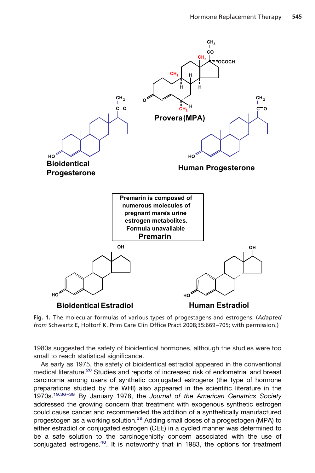

<span id="page-4-0"></span>**Fig. 1.** The molecular formulas of various types of progestagens and estrogens. (*Adapted from* Schwartz E, Holtorf K. Prim Care Clin Office Pract 2008;35:669–705; with permission.)

1980s suggested the safety of bioidentical hormones, although the studies were too small to reach statistical significance.

As early as 1975, the safety of bioidentical estradiol appeared in the conventional medical literature[.20](#page-10-5) Studies and reports of increased risk of endometrial and breast carcinoma among users of synthetic conjugated estrogens (the type of hormone preparations studied by the WHI) also appeared in the scientific literature in the 1970s.[19,36–38](#page-10-6) By January 1978, the *Journal of the American Geriatrics Society* addressed the growing concern that treatment with exogenous synthetic estrogen could cause cancer and recommended the addition of a synthetically manufactured progestogen as a working solution.<sup>[39](#page-11-2)</sup> Adding small doses of a progestogen (MPA) to either estradiol or conjugated estrogen (CEE) in a cycled manner was determined to be a safe solution to the carcinogenicity concern associated with the use of conjugated estrogens[.40.](#page-11-3) It is noteworthy that in 1983, the options for treatment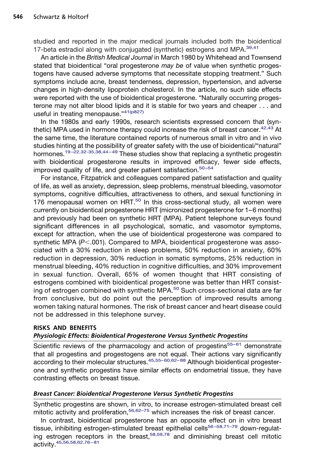studied and reported in the major medical journals included both the bioidentical 17-beta estradiol along with conjugated (synthetic) estrogens and MPA.<sup>39,41</sup>

An article in the *British Medical Journal* in March 1980 by Whitehead and Townsend stated that bioidentical "oral progesterone *may be* of value when synthetic progestogens have caused adverse symptoms that necessitate stopping treatment." Such symptoms include acne, breast tenderness, depression, hypertension, and adverse changes in high-density lipoprotein cholesterol. In the article, no such side effects were reported with the use of bioidentical progesterone. "Naturally occurring progesterone may not alter blood lipids and it is stable for two years and cheaper . . . and useful in treating menopause.["41\(p827\)](#page-11-4)

In the 1980s and early 1990s, research scientists expressed concern that (synthetic) MPA used in hormone therapy could increase the risk of breast cancer. $42,43$  At the same time, the literature contained reports of numerous small in vitro and in vivo studies hinting at the possibility of greater safety with the use of bioidentical/"natural" hormones.<sup>19–22,32-35,38,44–49</sup> These studies show that replacing a synthetic progestin with bioidentical progesterone results in improved efficacy, fewer side effects, improved quality of life, and greater patient satisfaction.<sup>50-54</sup>

For instance, Fitzpatrick and colleagues compared patient satisfaction and quality of life, as well as anxiety, depression, sleep problems, menstrual bleeding, vasomotor symptoms, cognitive difficulties, attractiveness to others, and sexual functioning in 176 menopausal women on HRT. $50$  In this cross-sectional study, all women were currently on bioidentical progesterone HRT (micronized progesterone for 1–6 months) and previously had been on synthetic HRT (MPA). Patient telephone surveys found significant differences in all psychological, somatic, and vasomotor symptoms, except for attraction, when the use of bioidentical progesterone was compared to synthetic MPA (P<.001). Compared to MPA, bioidentical progesterone was associated with a 30% reduction in sleep problems, 50% reduction in anxiety, 60% reduction in depression, 30% reduction in somatic symptoms, 25% reduction in menstrual bleeding, 40% reduction in cognitive difficulties, and 30% improvement in sexual function. Overall, 65% of women thought that HRT consisting of estrogens combined with bioidentical progesterone was better than HRT consist-ing of estrogen combined with synthetic MPA.<sup>[50](#page-12-0)</sup> Such cross-sectional data are far from conclusive, but do point out the perception of improved results among women taking natural hormones. The risk of breast cancer and heart disease could not be addressed in this telephone survey.

#### **RISKS AND BENEFITS**

#### *Physiologic Effects: Bioidentical Progesterone Versus Synthetic Progestins*

Scientific reviews of the pharmacology and action of progestins<sup>[55–61](#page-12-1)</sup> demonstrate that all progestins and progestogens are not equal. Their actions vary significantly according to their molecular structures.<sup>45,55–60,62–88</sup> Although bioidentical progesterone and synthetic progestins have similar effects on endometrial tissue, they have contrasting effects on breast tissue.

#### *Breast Cancer: Bioidentical Progesterone Versus Synthetic Progestins*

Synthetic progestins are shown, in vitro, to increase estrogen-stimulated breast cell mitotic activity and proliferation,  $56,62-75$  which increases the risk of breast cancer.

In contrast, bioidentical progesterone has an opposite effect on in vitro breast tissue, inhibiting estrogen-stimulated breast epithelial cells<sup>56–58,71–79</sup> down-regulating estrogen receptors in the breast,  $58,59,78$  and diminishing breast cell mitotic activity[.45,56,58,62,76–81](#page-11-6)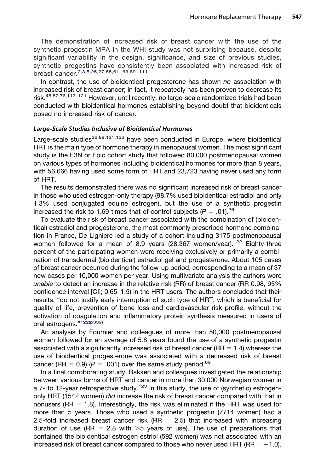The demonstration of increased risk of breast cancer with the use of the synthetic progestin MPA in the WHI study was not surprising because, despite significant variability in the design, significance, and size of previous studies, synthetic progestins have consistently been associated with increased risk of breast cancer.[2,3,5,25,27,55,61–63,89–111](#page-9-1)

In contrast, the use of bioidentical progesterone has shown *no* association with increased risk of breast cancer; in fact, it repeatedly has been proven to decrease its risk.<sup>45,57,76,112-121</sup> However, until recently, no large-scale randomized trials had been conducted with bioidentical hormones establishing beyond doubt that bioidenticals posed no increased risk of cancer.

#### *Large-Scale Studies Inclusive of Bioidentical Hormones*

Large-scale studies<sup>26,89,121,122</sup> have been conducted in Europe, where bioidentical HRT is the main type of hormone therapy in menopausal women. The most significant study is the E3N or Epic cohort study that followed 80,000 postmenopausal women on various types of hormones including bioidentical hormones for more than 8 years, with 56,666 having used some form of HRT and 23,723 having never used any form of HRT.

The results demonstrated there was no significant increased risk of breast cancer in those who used estrogen-only therapy (98.7% used bioidentical estradiol and only 1.3% used conjugated equine estrogen), but the use of a synthetic progestin increased the risk to 1.69 times that of control subjects  $(P = .01)^{26}$ 

To evaluate the risk of breast cancer associated with the combination of (bioidentical) estradiol and progesterone, the most commonly prescribed hormone combination in France, De Ligniere led a study of a cohort including 3175 postmenopausal women followed for a mean of 8.9 years  $(28,367 \text{ women/year})$ .<sup>122</sup> Eighty-three percent of the participating women were receiving exclusively or primarily a combination of transdermal (bioidentical) estradiol gel and progesterone. About 105 cases of breast cancer occurred during the follow-up period, corresponding to a mean of 37 new cases per 10,000 women per year. Using multivariate analysis the authors were *unable* to detect an increase in the relative risk (RR) of breast cancer (RR 0.98, 95% confidence interval [CI]; 0.65–1.5) in the HRT users. The authors concluded that their results, "do not justify early interruption of such type of HRT, which is beneficial for quality of life, prevention of bone loss and cardiovascular risk profile, without the activation of coagulation and inflammatory protein synthesis measured in users of oral estrogens."<sup>122(p339)</sup>

An analysis by Fournier and colleagues of more than 50,000 postmenopausal women followed for an average of 5.8 years found the use of a synthetic progestin associated with a significantly increased risk of breast cancer ( $RR = 1.4$ ) whereas the use of bioidentical progesterone was associated with a decreased risk of breast cancer (RR =  $0.9$ ) ( $P = .001$ ) over the same study period.<sup>89</sup>

In a final corroborating study, Bakken and colleagues investigated the relationship between various forms of HRT and cancer in more than 30,000 Norwegian women in a  $7$ - to 12-year retrospective study.<sup>[123](#page-16-1)</sup> In this study, the use of (synthetic) estrogenonly HRT (1542 women) *did* increase the risk of breast cancer compared with that in nonusers (RR  $=$  1.8). Interestingly, the risk was eliminated if the HRT was used for more than 5 years. Those who used a synthetic progestin (7714 women) had a 2.5-fold increased breast cancer risk (RR  $=$  2.5) that increased with increasing duration of use (RR = 2.8 with  $>5$  years of use). The use of preparations that contained the bioidentical estrogen estriol (592 women) was not associated with an increased risk of breast cancer compared to those who never used HRT (RR  $= -1.0$ ).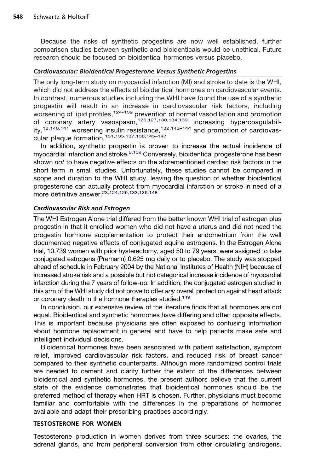Because the risks of synthetic progestins are now well established, further comparison studies between synthetic and bioidenticals would be unethical. Future research should be focused on bioidentical hormones versus placebo.

#### *Cardiovascular: Bioidentical Progesterone Versus Synthetic Progestins*

The only long-term study on myocardial infarction (MI) and stroke to date is the WHI, which did not address the effects of bioidentical hormones on cardiovascular events. In contrast, numerous studies including the WHI have found the use of a synthetic progestin will result in an increase in cardiovascular risk factors, including worsening of lipid profiles,  $124-139$  prevention of normal vasodilation and promotion of coronary artery vasospasm,[126,127,130,134,139](#page-16-3) increasing hypercoagulabil-ity,<sup>[13,140,141](#page-10-7)</sup> worsening insulin resistance,<sup>[132,142–144](#page-16-4)</sup> and promotion of cardiovascular plaque formation.[131,135,137,138,145–147](#page-16-5)

In addition, synthetic progestin is proven to increase the actual incidence of myocardial infarction and stroke.<sup>[2,139](#page-9-1)</sup> Conversely, bioidentical progesterone has been shown *not* to have negative effects on the aforementioned cardiac risk factors in the short term in small studies. Unfortunately, these studies cannot be compared in scope and duration to the WHI study, leaving the question of whether bioidentical progesterone can actually protect from myocardial infarction or stroke in need of a more definitive answer. 23,124,129,133,136,148

#### *Cardiovascular Risk and Estrogen*

The WHI Estrogen Alone trial differed from the better known WHI trial of estrogen plus progestin in that it enrolled women who did not have a uterus and did not need the progestin hormone supplementation to protect their endometrium from the well documented negative effects of conjugated equine estrogens. In the Estrogen Alone trial, 10,739 women with prior hysterectomy, aged 50 to 79 years, were assigned to take conjugated estrogens (Premarin) 0.625 mg daily or to placebo. The study was stopped ahead of schedule in February 2004 by the National Institutes of Health (NIH) because of increased stroke risk and a possible but not categorical increase incidence of myocardial infarction during the 7 years of follow-up. In addition, the conjugated estrogen studied in this arm of the WHI study did not prove to offer *any* overall protection against heart attack or coronary death in the hormone therapies studied.<sup>149</sup>

In conclusion, our extensive review of the literature finds that all hormones are not equal. Bioidentical and synthetic hormones have differing and often opposite effects. This is important because physicians are often exposed to confusing information about hormone replacement in general and have to help patients make safe and intelligent individual decisions.

Bioidentical hormones have been associated with patient satisfaction, symptom relief, improved cardiovascular risk factors, and reduced risk of breast cancer compared to their synthetic counterparts. Although more randomized control trials are needed to cement and clarify further the extent of the differences between bioidentical and synthetic hormones, the present authors believe that the current state of the evidence demonstrates that bioidentical hormones should be the preferred method of therapy when HRT is chosen. Further, physicians must become familiar and comfortable with the differences in the preparations of hormones available and adapt their prescribing practices accordingly.

#### **TESTOSTERONE FOR WOMEN**

Testosterone production in women derives from three sources: the ovaries, the adrenal glands, and from peripheral conversion from other circulating androgens.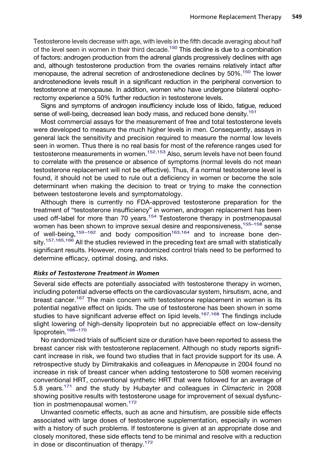Testosterone levels decrease with age, with levels in the fifth decade averaging about half of the level seen in women in their third decade.<sup>150</sup> This decline is due to a combination of factors: androgen production from the adrenal glands progressively declines with age and, although testosterone production from the ovaries remains relatively intact after menopause, the adrenal secretion of androstenedione declines by 50%.<sup>150</sup> The lower androstenedione levels result in a significant reduction in the peripheral conversion to testosterone at menopause. In addition, women who have undergone bilateral oophorectomy experience a 50% further reduction in testosterone levels.

Signs and symptoms of androgen insufficiency include loss of libido, fatigue, reduced sense of well-being, decreased lean body mass, and reduced bone density.<sup>151</sup>

Most commercial assays for the measurement of free and total testosterone levels were developed to measure the much higher levels in men. Consequently, assays in general lack the sensitivity and precision required to measure the normal low levels seen in women. Thus there is no real basis for most of the reference ranges used for testosterone measurements in women.<sup>152,153</sup> Also, serum levels have not been found to correlate with the presence or absence of symptoms (normal levels do not mean testosterone replacement will not be effective). Thus, if a normal testosterone level is found, it should not be used to rule out a deficiency in women or become the sole determinant when making the decision to treat or trying to make the connection between testosterone levels and symptomatology.

Although there is currently no FDA-approved testosterone preparation for the treatment of "testosterone insufficiency" in women, androgen replacement has been used off-label for more than 70 years.<sup>154</sup> Testosterone therapy in postmenopausal women has been shown to improve sexual desire and responsiveness,<sup>155–158</sup> sense of well-being,<sup>[159–162](#page-18-0)</sup> and body composition<sup>[163,164](#page-18-1)</sup> and to increase bone den-sity.<sup>[157,165,166](#page-18-2)</sup> All the studies reviewed in the preceding text are small with statistically significant results. However, more randomized control trials need to be performed to determine efficacy, optimal dosing, and risks.

#### *Risks of Testosterone Treatment in Women*

Several side effects are potentially associated with testosterone therapy in women, including potential adverse effects on the cardiovascular system, hirsutism, acne, and breast cancer.<sup>167</sup> The main concern with testosterone replacement in women is its potential negative effect on lipids. The use of testosterone has been shown in some studies to have significant adverse effect on lipid levels.<sup>[167,168](#page-18-3)</sup> The findings include slight lowering of high-density lipoprotein but no appreciable effect on low-density lipoprotein.<sup>168-170</sup>

No randomized trials of sufficient size or duration have been reported to assess the breast cancer risk with testosterone replacement. Although no study reports significant increase in risk, we found two studies that in fact provide support for its use. A retrospective study by Dimitrakakis and colleagues in *Menopause* in 2004 found no increase in risk of breast cancer when adding testosterone to 508 women receiving conventional HRT, conventional synthetic HRT that were followed for an average of 5.8 years[.171](#page-18-5) and the study by Hubayter and colleagues in *Climacteric* in 2008 showing positive results with testosterone usage for improvement of sexual dysfunction in postmenopausal women.<sup>172</sup>

Unwanted cosmetic effects, such as acne and hirsutism, are possible side effects associated with large doses of testosterone supplementation, especially in women with a history of such problems. If testosterone is given at an appropriate dose and closely monitored, these side effects tend to be minimal and resolve with a reduction in dose or discontinuation of therapy.<sup>172</sup>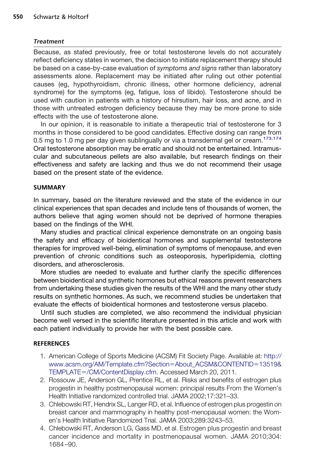#### *Treatment*

Because, as stated previously, free or total testosterone levels do not accurately reflect deficiency states in women, the decision to initiate replacement therapy should be based on a case-by-case evaluation of *symptoms and signs* rather than laboratory assessments alone. Replacement may be initiated after ruling out other potential causes (eg, hypothyroidism, chronic illness, other hormone deficiency, adrenal syndrome) for the symptoms (eg, fatigue, loss of libido). Testosterone should be used with caution in patients with a history of hirsutism, hair loss, and acne, and in those with untreated estrogen deficiency because they may be more prone to side effects with the use of testosterone alone.

In our opinion, it is reasonable to initiate a therapeutic trial of testosterone for 3 months in those considered to be good candidates. Effective dosing can range from 0.5 mg to 1.0 mg per day given sublingually or via a transdermal gel or cream.<sup>173,174</sup> Oral testosterone absorption may be erratic and should not be entertained. Intramuscular and subcutaneous pellets are also available, but research findings on their effectiveness and safety are lacking and thus we do not recommend their usage based on the present state of the evidence.

#### **SUMMARY**

In summary, based on the literature reviewed and the state of the evidence in our clinical experiences that span decades and include tens of thousands of women, the authors believe that aging women should not be deprived of hormone therapies based on the findings of the WHI.

Many studies and practical clinical experience demonstrate on an ongoing basis the safety and efficacy of bioidentical hormones and supplemental testosterone therapies for improved well-being, elimination of symptoms of menopause, and even prevention of chronic conditions such as osteoporosis, hyperlipidemia, clotting disorders, and atherosclerosis.

More studies are needed to evaluate and further clarify the specific differences between bioidentical and synthetic hormones but ethical reasons prevent researchers from undertaking these studies given the results of the WHI and the many other study results on synthetic hormones. As such, we recommend studies be undertaken that evaluate the effects of bioidentical hormones and testosterone versus placebo.

Until such studies are completed, we also recommend the individual physician become well versed in the scientific literature presented in this article and work with each patient individually to provide her with the best possible care.

#### <span id="page-9-0"></span>**REFERENCES**

- 1. American College of Sports Medicine (ACSM) Fit Society Page. Available at: [http://](http://www.acsm.org/AM/Template.cfm?Section=About_ACSM%26CONTENTID=13519%26TEMPLATE=/CM/ContentDisplay.cfm) [www.acsm.org/AM/Template.cfm?Section](http://www.acsm.org/AM/Template.cfm?Section=About_ACSM%26CONTENTID=13519%26TEMPLATE=/CM/ContentDisplay.cfm)=About\_ACSM&CONTENTID=13519& TEMPLATE=[/CM/ContentDisplay.cfm.](http://www.acsm.org/AM/Template.cfm?Section=About_ACSM%26CONTENTID=13519%26TEMPLATE=/CM/ContentDisplay.cfm) Accessed March 20, 2011.
- <span id="page-9-1"></span>2. Rossouw JE, Anderson GL, Prentice RL, et al. Risks and benefits of estrogen plus progestin in healthy postmenopausal women: principal results From the Women's Health Initiative randomized controlled trial. JAMA 2002;17:321–33.
- <span id="page-9-2"></span>3. Chlebowski RT, Hendrix SL, Langer RD, et al. Influence of estrogen plus progestin on breast cancer and mammography in healthy post-menopausal women: the Women's Health Initiative Randomized Trial. JAMA 2003;289:3243–53.
- <span id="page-9-3"></span>4. Chlebowski RT, Anderson LG, Gass MD, et al. Estrogen plus progestin and breast cancer incidence and mortality in postmenopausal women. JAMA 2010;304: 1684 –90.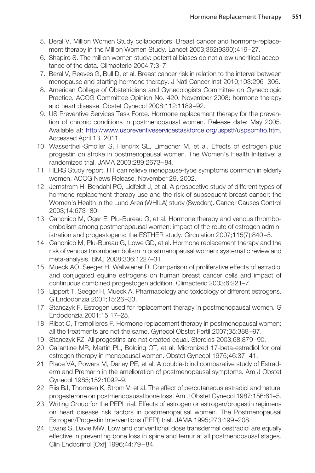- <span id="page-10-0"></span>5. Beral V, Million Women Study collaborators. Breast cancer and hormone-replacement therapy in the Million Women Study. Lancet 2003;362(9390):419 –27.
- <span id="page-10-1"></span>6. Shapiro S. The million women study: potential biases do not allow uncritical acceptance of the data. Climacteric 2004;7:3–7.
- <span id="page-10-2"></span>7. Beral V, Reeves G, Bull D, et al. Breast cancer risk in relation to the interval between menopause and starting hormone therapy. J Natl Cancer Inst 2010;103:296 –305.
- 8. American College of Obstetricians and Gynecologists Committee on Gynecologic Practice. ACOG Committee Opinion No. 420. November 2008: hormone therapy and heart disease. Obstet Gynecol 2008;112:1189 –92.
- <span id="page-10-3"></span>9. US Preventive Services Task Force. Hormone replacement therapy for the prevention of chronic conditions in postmenopausal women. Release date: May 2005. Available at: [http://www.uspreventiveservicestaskforce.org/uspstf/uspspmho.htm.](http://www.uspreventiveservicestaskforce.org/uspstf/uspspmho.htm) Accessed April 13, 2011.
- 10. Wassertheil-Smoller S, Hendrix SL, Limacher M, et al. Effects of estrogen plus progestin on stroke in postmenopausal women. The Women's Health Initiative: a randomized trial. JAMA 2003;289:2673– 84.
- 11. HERS Study report. HT can relieve menopause-type symptoms common in elderly women. ACOG News Release, November 29, 2002.
- <span id="page-10-4"></span>12. Jernstrom H, Bendahl PO, Lidfeldt J, et al. A prospective study of different types of hormone replacement therapy use and the risk of subsequent breast cancer: the Women's Health in the Lund Area (WHILA) study (Sweden). Cancer Causes Control 2003;14:673– 80.
- <span id="page-10-7"></span>13. Canonico M, Oger E, Plu-Bureau G, et al. Hormone therapy and venous thromboembolism among postmenopausal women: impact of the route of estrogen administration and progestogens: the ESTHER study. Circulation 2007;115(7):840 –5.
- 14. Canonico M, Plu-Bureau G, Lowe GD, et al. Hormone replacement therapy and the risk of venous thromboembolism in postmenopausal women: systematic review and meta-analysis. BMJ 2008;336:1227–31.
- 15. Mueck AO, Seeger H, Wallwiener D. Comparison of proliferative effects of estradiol and conjugated equine estrogens on human breast cancer cells and impact of continuous combined progestogen addition. Climacteric 2003;6:221–7.
- 16. Lippert T, Seeger H, Mueck A. Pharmacology and toxicology of different estrogens. G Endodonzia 2001;15:26 –33.
- 17. Stanczyk F. Estrogen used for replacement therapy in postmenopausal women. G Endodonzia 2001;15:17–25.
- <span id="page-10-6"></span>18. Ribot C, Tremollieres F. Hormone replacement therapy in postmenopausal women: all the treatments are not the same. Gynecol Obstet Fertil 2007;35:388 –97.
- <span id="page-10-5"></span>19. Stanczyk FZ. All progestins are not created equal. Steroids 2003;68:879 –90.
- 20. Callantine MR, Martin PL, Bolding OT, et al. Micronized 17-beta-estradiol for oral estrogen therapy in menopausal women. Obstet Gynecol 1975;46:37– 41.
- 21. Place VA, Powers M, Darley PE, et al. A double-blind comparative study of Estraderm and Premarin in the amelioration of postmenopausal symptoms. Am J Obstet Gynecol 1985;152:1092–9.
- <span id="page-10-8"></span>22. Riis BJ, Thomsen K, Strom V, et al. The effect of percutaneous estradiol and natural progesterone on postmenopausal bone loss. Am J Obstet Gynecol 1987;156:61–5.
- 23. Writing Group for the PEPI trial. Effects of estrogen or estrogen/progestin regimens on heart disease risk factors in postmenopausal women. The Postmenopausal Estrogen/Progestin Interventions (PEPI) trial. JAMA 1995;273:199 –208.
- 24. Evans S, Davie MW. Low and conventional dose transdermal oestradiol are equally effective in preventing bone loss in spine and femur at all postmenopausal stages. Clin Endocrinol [Oxf] 1996;44:79 – 84.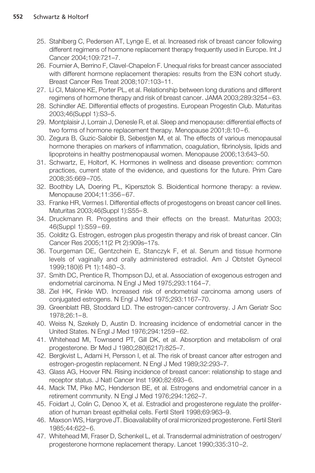- 25. Stahlberg C, Pedersen AT, Lynge E, et al. Increased risk of breast cancer following different regimens of hormone replacement therapy frequently used in Europe. Int J Cancer 2004;109:721–7.
- <span id="page-11-7"></span>26. Fournier A, Berrino F, Clavel-Chapelon F. Unequal risks for breast cancer associated with different hormone replacement therapies: results from the E3N cohort study. Breast Cancer Res Treat 2008;107:103–11.
- 27. Li CI, Malone KE, Porter PL, et al. Relationship between long durations and different regimens of hormone therapy and risk of breast cancer. JAMA 2003;289:3254 – 63.
- 28. Schindler AE. Differential effects of progestins. European Progestin Club. Maturitas 2003;46(Suppl 1):S3–5.
- 29. Montplaisir J, Lorrain J, Denesle R, et al. Sleep and menopause: differential effects of two forms of hormone replacement therapy. Menopause 2001;8:10-6.
- 30. Zegura B, Guzic-Salobir B, Sebestjen M, et al. The effects of various menopausal hormone therapies on markers of inflammation, coagulation, fibrinolysis, lipids and lipoproteins in healthy postmenopausal women. Menopause 2006;13:643–50.
- <span id="page-11-0"></span>31. Schwartz, E, Holtorf, K. Hormones in wellness and disease prevention: common practices, current state of the evidence, and questions for the future. Prim Care 2008;35:669 –705.
- <span id="page-11-1"></span>32. Boothby LA, Doering PL, Kipersztok S. Bioidentical hormone therapy: a review. Menopause 2004;11:356 – 67.
- 33. Franke HR, Vermes I. Differential effects of progestogens on breast cancer cell lines. Maturitas 2003;46(Suppl 1):S55– 8.
- 34. Druckmann R. Progestins and their effects on the breast. Maturitas 2003; 46(Suppl 1):S59 – 69.
- 35. Colditz G. Estrogen, estrogen plus progestin therapy and risk of breast cancer. Clin Cancer Res 2005;11(2 Pt 2):909s–17s.
- 36. Tourgeman DE, Gentzchein E, Stanczyk F, et al. Serum and tissue hormone levels of vaginally and orally administered estradiol. Am J Obtstet Gynecol 1999;180(6 Pt 1):1480 –3.
- 37. Smith DC, Prentice R, Thompson DJ, et al. Association of exogenous estrogen and endometrial carcinoma. N Engl J Med 1975;293:1164 –7.
- <span id="page-11-2"></span>38. Ziel HK, Finkle WD. Increased risk of endometrial carcinoma among users of conjugated estrogens. N Engl J Med 1975;293:1167–70.
- <span id="page-11-3"></span>39. Greenblatt RB, Stoddard LD. The estrogen-cancer controversy. J Am Geriatr Soc 1978;26:1– 8.
- <span id="page-11-4"></span>40. Weiss N, Szekely D, Austin D. Increasing incidence of endometrial cancer in the United States. N Engl J Med 1976;294:1259 – 62.
- <span id="page-11-5"></span>41. Whitehead MI, Townsend PT, Gill DK, et al. Absorption and metabolism of oral progesterone. Br Med J 1980;280(6217):825–7.
- 42. Bergkvist L, Adami H, Persson I, et al. The risk of breast cancer after estrogen and estrogen-progestin replacement. N Engl J Med 1989;32:293–7.
- 43. Glass AG, Hoover RN. Rising incidence of breast cancer: relationship to stage and receptor status. J Natl Cancer Inst 1990;82:693– 6.
- <span id="page-11-6"></span>44. Mack TM, Pike MC, Henderson BE, et al. Estrogens and endometrial cancer in a retirement community. N Engl J Med 1976;294:1262–7.
- 45. Foidart J, Colin C, Denoo X, et al. Estradiol and progesterone regulate the proliferation of human breast epithelial cells. Fertil Steril 1998;69:963–9.
- 46. Maxson WS, Hargrove JT. Bioavailability of oral micronized progesterone. Fertil Steril 1985;44:622– 6.
- 47. Whitehead MI, Fraser D, Schenkel L, et al. Transdermal administration of oestrogen/ progesterone hormone replacement therapy. Lancet 1990;335:310 –2.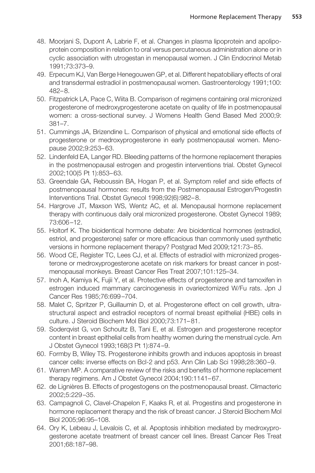- 48. Moorjani S, Dupont A, Labrie F, et al. Changes in plasma lipoprotein and apolipoprotein composition in relation to oral versus percutaneous administration alone or in cyclic association with utrogestan in menopausal women. J Clin Endocrinol Metab 1991;73:373–9.
- 49. Erpecum KJ, Van Berge Henegouwen GP, et al. Different hepatobiliary effects of oral and transdermal estradiol in postmenopausal women. Gastroenterology 1991;100: 482– 8.
- <span id="page-12-0"></span>50. Fitzpatrick LA, Pace C, Wiita B. Comparison of regimens containing oral micronized progesterone of medroxyprogesterone acetate on quality of life in postmenopausal women: a cross-sectional survey. J Womens Health Gend Based Med 2000;9: 381–7.
- 51. Cummings JA, Brizendine L. Comparison of physical and emotional side effects of progesterone or medroxyprogesterone in early postmenopausal women. Menopause 2002;9:253– 63.
- 52. Lindenfeld EA, Langer RD. Bleeding patterns of the hormone replacement therapies in the postmenopausal estrogen and progestin interventions trial. Obstet Gynecol 2002;100(5 Pt 1):853– 63.
- 53. Greendale GA, Reboussin BA, Hogan P, et al. Symptom relief and side effects of postmenopausal hormones: results from the Postmenopausal Estrogen/Progestin Interventions Trial. Obstet Gynecol 1998;92(6):982– 8.
- 54. Hargrove JT, Maxson WS, Wentz AC, et al. Menopausal hormone replacement therapy with continuous daily oral micronized progesterone. Obstet Gynecol 1989; 73:606 –12.
- <span id="page-12-1"></span>55. Holtorf K. The bioidentical hormone debate: Are bioidentical hormones (estradiol, estriol, and progesterone) safer or more efficacious than commonly used synthetic versions in hormone replacement therapy? Postgrad Med 2009;121:73– 85.
- <span id="page-12-2"></span>56. Wood CE, Register TC, Lees CJ, et al. Effects of estradiol with micronized progesterone or medroxyprogesterone acetate on risk markers for breast cancer in postmenopausal monkeys. Breast Cancer Res Treat 2007;101:125–34.
- 57. Inoh A, Kamiya K, Fujii Y, et al. Protective effects of progesterone and tamoxifen in estrogen induced mammary carcinogenesis in ovariectomized W/Fu rats. Jpn J Cancer Res 1985;76:699 –704.
- <span id="page-12-3"></span>58. Malet C, Spritzer P, Guillaumin D, et al. Progesterone effect on cell growth, ultrastructural aspect and estradiol receptors of normal breast epithelial (HBE) cells in culture. J Steroid Biochem Mol Biol 2000;73:171– 81.
- 59. Soderqvist G, von Schoultz B, Tani E, et al. Estrogen and progesterone receptor content in breast epithelial cells from healthy women during the menstrual cycle. Am J Obstet Gynecol 1993;168(3 Pt 1):874 –9.
- 60. Formby B, Wiley TS. Progesterone inhibits growth and induces apoptosis in breast cancer cells: inverse effects on Bcl-2 and p53. Ann Clin Lab Sci 1998;28:360 –9.
- 61. Warren MP. A comparative review of the risks and benefits of hormone replacement therapy regimens. Am J Obstet Gynecol 2004;190:1141-67.
- 62. de Lignières B. Effects of progestogens on the postmenopausal breast. Climacteric 2002;5:229 –35.
- 63. Campagnoli C, Clavel-Chapelon F, Kaaks R, et al. Progestins and progesterone in hormone replacement therapy and the risk of breast cancer. J Steroid Biochem Mol Biol 2005;96:95–108.
- 64. Ory K, Lebeau J, Levalois C, et al. Apoptosis inhibition mediated by medroxyprogesterone acetate treatment of breast cancer cell lines. Breast Cancer Res Treat 2001;68:187–98.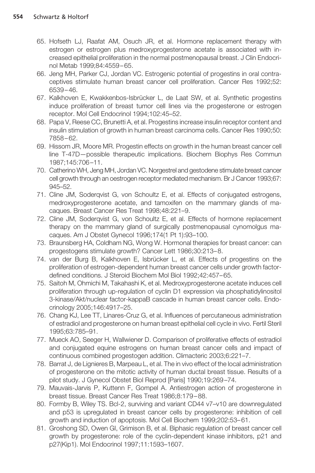- 65. Hofseth LJ, Raafat AM, Osuch JR, et al. Hormone replacement therapy with estrogen or estrogen plus medroxyprogesterone acetate is associated with increased epithelial proliferation in the normal postmenopausal breast. J Clin Endocrinol Metab 1999;84:4559 – 65.
- 66. Jeng MH, Parker CJ, Jordan VC. Estrogenic potential of progestins in oral contraceptives stimulate human breast cancer cell proliferation. Cancer Res 1992;52: 6539 – 46.
- 67. Kalkhoven E, Kwakkenbos-Isbrücker L, de Laat SW, et al. Synthetic progestins induce proliferation of breast tumor cell lines via the progesterone or estrogen receptor. Mol Cell Endocrinol 1994;102:45–52.
- 68. Papa V, Reese CC, Brunetti A, et al. Progestins increase insulin receptor content and insulin stimulation of growth in human breast carcinoma cells. Cancer Res 1990;50: 7858 – 62.
- 69. Hissom JR, Moore MR. Progestin effects on growth in the human breast cancer cell line T-47D—possible therapeutic implications. Biochem Biophys Res Commun 1987;145:706 –11.
- 70. Catherino WH, Jeng MH, Jordan VC. Norgestrel and gestodene stimulate breast cancer cell growth through an oestrogen receptor mediated mechanism. Br J Cancer 1993;67: 945–52.
- 71. Cline JM, Soderqvist G, von Schoultz E, et al. Effects of conjugated estrogens, medroxyprogesterone acetate, and tamoxifen on the mammary glands of macaques. Breast Cancer Res Treat 1998;48:221–9.
- 72. Cline JM, Soderqvist G, von Schoultz E, et al. Effects of hormone replacement therapy on the mammary gland of surgically postmenopausal cynomolgus macaques. Am J Obstet Gynecol 1996;174(1 Pt 1):93–100.
- 73. Braunsberg HA, Coldham NG, Wong W. Hormonal therapies for breast cancer: can progestogens stimulate growth? Cancer Lett 1986;30:213– 8.
- 74. van der Burg B, Kalkhoven E, Isbrücker L, et al. Effects of progestins on the proliferation of estrogen-dependent human breast cancer cells under growth factordefined conditions. J Steroid Biochem Mol Biol 1992;42:457-65.
- 75. Saitoh M, Ohmichi M, Takahashi K, et al. Medroxyprogesterone acetate induces cell proliferation through up-regulation of cyclin D1 expression via phosphatidylinositol 3-kinase/Akt/nuclear factor-kappaB cascade in human breast cancer cells. Endocrinology 2005;146:4917–25.
- 76. Chang KJ, Lee TT, Linares-Cruz G, et al. Influences of percutaneous administration of estradiol and progesterone on human breast epithelial cell cycle in vivo. Fertil Steril 1995;63:785–91.
- 77. Mueck AO, Seeger H, Wallwiener D. Comparison of proliferative effects of estradiol and conjugated equine estrogens on human breast cancer cells and impact of continuous combined progestogen addition. Climacteric 2003;6:221–7.
- 78. Barrat J, de Lignieres B, Marpeau L, et al. The in vivo effect of the local administration of progesterone on the mitotic activity of human ductal breast tissue. Results of a pilot study. J Gynecol Obstet Biol Reprod [Paris] 1990;19:269 –74.
- 79. Mauvais-Jarvis P, Kuttenn F, Gompel A. Antiestrogen action of progesterone in breast tissue. Breast Cancer Res Treat 1986;8:179 – 88.
- 80. Formby B, Wiley TS. Bcl-2, surviving and variant CD44 v7-v10 are downregulated and p53 is upregulated in breast cancer cells by progesterone: inhibition of cell growth and induction of apoptosis. Mol Cell Biochem 1999;202:53– 61.
- 81. Groshong SD, Owen GI, Grimison B, et al. Biphasic regulation of breast cancer cell growth by progesterone: role of the cyclin-dependent kinase inhibitors, p21 and p27(Kip1). Mol Endocrinol 1997;11:1593–1607.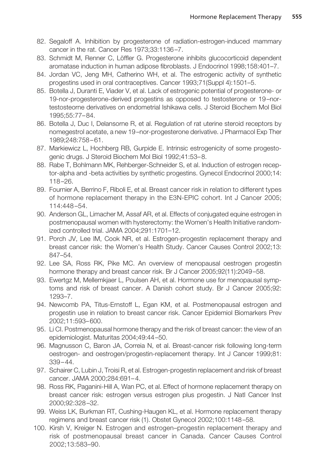- 82. Segaloff A. Inhibition by progesterone of radiation-estrogen-induced mammary cancer in the rat. Cancer Res 1973;33:1136-7.
- 83. Schmidt M, Renner C, Löffler G. Progesterone inhibits glucocorticoid dependent aromatase induction in human adipose fibroblasts. J Endocrinol 1998;158:401–7.
- 84. Jordan VC, Jeng MH, Catherino WH, et al. The estrogenic activity of synthetic progestins used in oral contraceptives. Cancer 1993;71(Suppl 4):1501–5.
- 85. Botella J, Duranti E, Viader V, et al. Lack of estrogenic potential of progesterone- or 19-nor-progesterone-derived progestins as opposed to testosterone or 19 –nortestosteorne derivatives on endometrial Ishikawa cells. J Steroid Biochem Mol Biol 1995;55:77– 84.
- 86. Botella J, Duc I, Delansorne R, et al. Regulation of rat uterine steroid receptors by nomegestrol acetate, a new 19 –nor-progesterone derivative. J Pharmacol Exp Ther 1989;248:758 – 61.
- 87. Markiewicz L, Hochberg RB, Gurpide E. Intrinsic estrogenicity of some progestogenic drugs. J Steroid Biochem Mol Biol 1992;41:53– 8.
- 88. Rabe T, Bohlmann MK, Rehberger-Schneider S, et al. Induction of estrogen receptor-alpha and -beta activities by synthetic progestins. Gynecol Endocrinol 2000;14: 118 –26.
- <span id="page-14-0"></span>89. Fournier A, Berrino F, Riboli E, et al. Breast cancer risk in relation to different types of hormone replacement therapy in the E3N-EPIC cohort. Int J Cancer 2005; 114:448 –54.
- 90. Anderson GL, Limacher M, Assaf AR, et al. Effects of conjugated equine estrogen in postmenopausal women with hysterectomy: the Women's Health Initiative randomized controlled trial. JAMA 2004;291:1701–12.
- 91. Porch JV, Lee IM, Cook NR, et al. Estrogen-progestin replacement therapy and breast cancer risk: the Women's Health Study. Cancer Causes Control 2002;13: 847–54.
- 92. Lee SA, Ross RK, Pike MC. An overview of menopausal oestrogen progestin hormone therapy and breast cancer risk. Br J Cancer 2005;92(11):2049 –58.
- 93. Ewertgz M, Mellemkjaer L, Poulsen AH, et al. Hormone use for menopausal symptoms and risk of breast cancer. A Danish cohort study. Br J Cancer 2005;92: 1293–7.
- 94. Newcomb PA, Titus-Ernstoff L, Egan KM, et al. Postmenopausal estrogen and progestin use in relation to breast cancer risk. Cancer Epidemiol Biomarkers Prev 2002;11:593– 600.
- 95. Li CI. Postmenopausal hormone therapy and the risk of breast cancer: the view of an epidemiologist. Maturitas 2004;49:44 –50.
- 96. Magnusson C, Baron JA, Correia N, et al. Breast-cancer risk following long-term oestrogen- and oestrogen/progestin-replacement therapy. Int J Cancer 1999;81: 339 – 44.
- 97. Schairer C, Lubin J, Troisi R, et al. Estrogen-progestin replacement and risk of breast cancer. JAMA 2000;284:691-4.
- 98. Ross RK, Paganini-Hill A, Wan PC, et al. Effect of hormone replacement therapy on breast cancer risk: estrogen versus estrogen plus progestin. J Natl Cancer Inst 2000;92:328 –32.
- 99. Weiss LK, Burkman RT, Cushing-Haugen KL, et al. Hormone replacement therapy regimens and breast cancer risk (1). Obstet Gynecol 2002;100:1148 –58.
- 100. Kirsh V, Kreiger N. Estrogen and estrogen–progestin replacement therapy and risk of postmenopausal breast cancer in Canada. Cancer Causes Control 2002;13:583–90.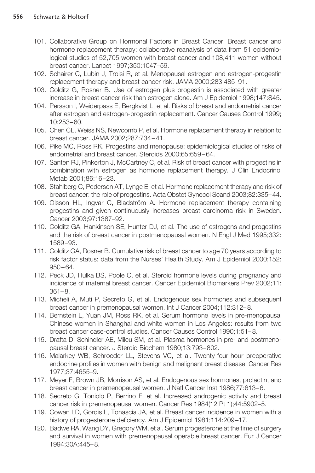- 101. Collaborative Group on Hormonal Factors in Breast Cancer. Breast cancer and hormone replacement therapy: collaborative reanalysis of data from 51 epidemiological studies of 52,705 women with breast cancer and 108,411 women without breast cancer. Lancet 1997;350:1047–59.
- 102. Schairer C, Lubin J, Troisi R, et al. Menopausal estrogen and estrogen-progestin replacement therapy and breast cancer risk. JAMA 2000;283:485–91.
- 103. Colditz G, Rosner B. Use of estrogen plus progestin is associated with greater increase in breast cancer risk than estrogen alone. Am J Epidemiol 1998;147:S45.
- 104. Persson I, Weiderpass E, Bergkvist L, et al. Risks of breast and endometrial cancer after estrogen and estrogen-progestin replacement. Cancer Causes Control 1999; 10:253– 60.
- 105. Chen CL, Weiss NS, Newcomb P, et al. Hormone replacement therapy in relation to breast cancer. JAMA 2002;287:734 – 41.
- 106. Pike MC, Ross RK. Progestins and menopause: epidemiological studies of risks of endometrial and breast cancer. Steroids 2000;65:659 – 64.
- 107. Santen RJ, Pinkerton J, McCartney C, et al. Risk of breast cancer with progestins in combination with estrogen as hormone replacement therapy. J Clin Endocrinol Metab 2001;86:16 –23.
- 108. Stahlberg C, Pederson AT, Lynge E, et al. Hormone replacement therapy and risk of breast cancer: the role of progestins. Acta Obstet Gynecol Scand 2003;82:335– 44.
- 109. Olsson HL, Ingvar C, Bladström A. Hormone replacement therapy containing progestins and given continuously increases breast carcinoma risk in Sweden. Cancer 2003;97:1387–92.
- 110. Colditz GA, Hankinson SE, Hunter DJ, et al. The use of estrogens and progestins and the risk of breast cancer in postmenopausal women. N Engl J Med 1995;332: 1589 –93.
- 111. Colditz GA, Rosner B. Cumulative risk of breast cancer to age 70 years according to risk factor status: data from the Nurses' Health Study. Am J Epidemiol 2000;152:  $950 - 64.$
- 112. Peck JD, Hulka BS, Poole C, et al. Steroid hormone levels during pregnancy and incidence of maternal breast cancer. Cancer Epidemiol Biomarkers Prev 2002;11:  $361 - 8.$
- 113. Micheli A, Muti P, Secreto G, et al. Endogenous sex hormones and subsequent breast cancer in premenopausal women. Int J Cancer 2004;112:312– 8.
- 114. Bernstein L, Yuan JM, Ross RK, et al. Serum hormone levels in pre-menopausal Chinese women in Shanghai and white women in Los Angeles: results from two breast cancer case-control studies. Cancer Causes Control 1990;1:51– 8.
- 115. Drafta D, Schindler AE, Milcu SM, et al. Plasma hormones in pre- and postmenopausal breast cancer. J Steroid Biochem 1980;13:793– 802.
- 116. Malarkey WB, Schroeder LL, Stevens VC, et al. Twenty-four-hour preoperative endocrine profiles in women with benign and malignant breast disease. Cancer Res 1977;37:4655–9.
- 117. Meyer F, Brown JB, Morrison AS, et al. Endogenous sex hormones, prolactin, and breast cancer in premenopausal women. J Natl Cancer Inst 1986;77:613– 6.
- 118. Secreto G, Toniolo P, Berrino F, et al. Increased androgenic activity and breast cancer risk in premenopausal women. Cancer Res 1984(12 Pt 1);44:5902–5.
- 119. Cowan LD, Gordis L, Tonascia JA, et al. Breast cancer incidence in women with a history of progesterone deficiency. Am J Epidemiol 1981;114:209-17.
- 120. Badwe RA, Wang DY, Gregory WM, et al. Serum progesterone at the time of surgery and survival in women with premenopausal operable breast cancer. Eur J Cancer 1994;30A:445– 8.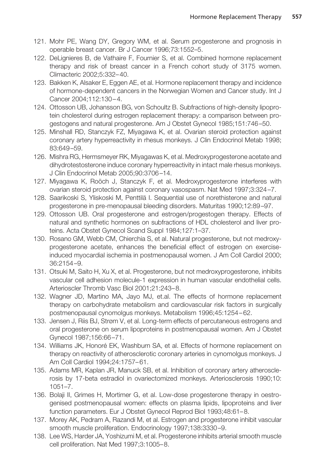- 121. Mohr PE, Wang DY, Gregory WM, et al. Serum progesterone and prognosis in operable breast cancer. Br J Cancer 1996;73:1552–5.
- <span id="page-16-0"></span>122. DeLignieres B, de Vathaire F, Fournier S, et al. Combined hormone replacement therapy and risk of breast cancer in a French cohort study of 3175 women. Climacteric 2002;5:332– 40.
- <span id="page-16-1"></span>123. Bakken K, Alsaker E, Eggen AE, et al. Hormone replacement therapy and incidence of hormone-dependent cancers in the Norwegian Women and Cancer study. Int J Cancer 2004:112:130-4.
- <span id="page-16-2"></span>124. Ottosson UB, Johansson BG, von Schoultz B. Subfractions of high-density lipoprotein cholesterol during estrogen replacement therapy: a comparison between progestogens and natural progesterone. Am J Obstet Gynecol 1985;151:746 –50.
- 125. Minshall RD, Stanczyk FZ, Miyagawa K, et al. Ovarian steroid protection against coronary artery hyperreactivity in rhesus monkeys. J Clin Endocrinol Metab 1998; 83:649 –59.
- <span id="page-16-3"></span>126. Mishra RG, Hermsmeyer RK, Miyagawas K, et al. Medroxyprogesterone acetate and dihydrotestosterone induce coronary hyperreactivity in intact male rhesus monkeys. J Clin Endocrinol Metab 2005;90:3706 –14.
- 127. Miyagawa K, Roöch J, Stanczyk F, et al. Medroxyprogesterone interferes with ovarian steroid protection against coronary vasospasm. Nat Med 1997;3:324 –7.
- 128. Saarikoski S, Yliskoski M, Penttilä I. Sequential use of norethisterone and natural progesterone in pre-menopausal bleeding disorders. Maturitas 1990;12:89 –97.
- 129. Ottosson UB. Oral progesterone and estrogen/progestogen therapy. Effects of natural and synthetic hormones on subfractions of HDL cholesterol and liver proteins. Acta Obstet Gynecol Scand Suppl 1984;127:1–37.
- 130. Rosano GM, Webb CM, Chierchia S, et al. Natural progesterone, but not medroxyprogesterone acetate, enhances the beneficial effect of estrogen on exerciseinduced myocardial ischemia in postmenopausal women. J Am Coll Cardiol 2000; 36:2154 –9.
- <span id="page-16-5"></span>131. Otsuki M, Saito H, Xu X, et al. Progesterone, but not medroxyprogesterone, inhibits vascular cell adhesion molecule-1 expression in human vascular endothelial cells. Arterioscler Thromb Vasc Biol 2001;21:243– 8.
- <span id="page-16-4"></span>132. Wagner JD, Martino MA, Jayo MJ, et.al. The effects of hormone replacement therapy on carbohydrate metabolism and cardiovascular risk factors in surgically postmenopausal cynomolgus monkeys. Metabolism 1996;45:1254 – 62.
- 133. Jensen J, Riis BJ, Strøm V, et al. Long-term effects of percutaneous estrogens and oral progesterone on serum lipoproteins in postmenopausal women. Am J Obstet Gynecol 1987;156:66 –71.
- 134. Williams JK, Honoré EK, Washburn SA, et al. Effects of hormone replacement on therapy on reactivity of atherosclerotic coronary arteries in cynomolgus monkeys. J Am Coll Cardiol 1994;24:1757– 61.
- 135. Adams MR, Kaplan JR, Manuck SB, et al. Inhibition of coronary artery atherosclerosis by 17-beta estradiol in ovariectomized monkeys. Arteriosclerosis 1990;10: 1051–7.
- 136. Bolaji II, Grimes H, Mortimer G, et al. Low-dose progesterone therapy in oestrogenised postmenopausal women: effects on plasma lipids, lipoproteins and liver function parameters. Eur J Obstet Gynecol Reprod Biol 1993;48:61– 8.
- 137. Morey AK, Pedram A, Razandi M, et al. Estrogen and progesterone inhibit vascular smooth muscle proliferation. Endocrinology 1997;138:3330 –9.
- 138. Lee WS, Harder JA, Yoshizumi M, et al. Progesterone inhibits arterial smooth muscle cell proliferation. Nat Med 1997;3:1005– 8.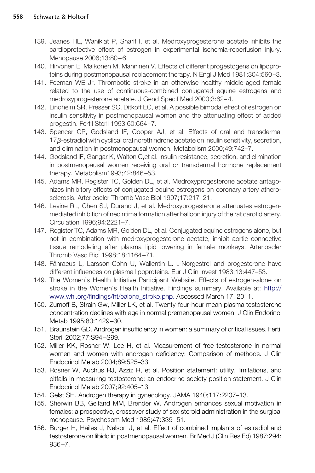- 139. Jeanes HL, Wanikiat P, Sharif I, et al. Medroxyprogesterone acetate inhibits the cardioprotective effect of estrogen in experimental ischemia-reperfusion injury. Menopause 2006;13:80 – 6.
- 140. Hirvonen E, Malkonen M, Manninen V. Effects of different progestogens on lipoproteins during postmenopausal replacement therapy. N Engl J Med 1981;304:560 –3.
- 141. Feeman WE Jr. Thrombotic stroke in an otherwise healthy middle-aged female related to the use of continuous-combined conjugated equine estrogens and medroxyprogesterone acetate. J Gend Specif Med 2000;3:62– 4.
- 142. Lindheim SR, Presser SC, Ditkoff EC, et al. A possible bimodal effect of estrogen on insulin sensitivity in postmenopausal women and the attenuating effect of added progestin. Fertil Steril 1993;60:664 –7.
- 143. Spencer CP, Godsland IF, Cooper AJ, et al. Effects of oral and transdermal 17B-estradiol with cyclical oral norethindrone acetate on insulin sensitivity, secretion, and elimination in postmenopausal women. Metabolism 2000;49:742–7.
- 144. Godsland IF, Gangar K, Walton C,et al. Insulin resistance, secretion, and elimination in postmenopausal women receiving oral or transdermal hormone replacement therapy. Metabolism1993;42:846 –53.
- 145. Adams MR, Register TC, Golden DL, et al. Medroxyprogesterone acetate antagonizes inhibitory effects of conjugated equine estrogens on coronary artery atherosclerosis. Arterioscler Thromb Vasc Biol 1997;17:217–21.
- 146. Levine RL, Chen SJ, Durand J, et al. Medroxyprogesterone attenuates estrogenmediated inhibition of neointima formation after balloon injury of the rat carotid artery. Circulation 1996;94:2221–7.
- 147. Register TC, Adams MR, Golden DL, et al. Conjugated equine estrogens alone, but not in combination with medroxyprogesterone acetate, inhibit aortic connective tissue remodeling after plasma lipid lowering in female monkeys. Arterioscler Thromb Vasc Biol 1998;18:1164 –71.
- <span id="page-17-0"></span>148. Fåhraeus L, Larsson-Cohn U, Wallentin L. L-Norgestrel and progesterone have different influences on plasma lipoproteins. Eur J Clin Invest 1983;13:447–53.
- 149. The Women's Health Initiative Participant Website. Effects of estrogen-alone on stroke in the Women's Health Initiative. Findings summary. Available at: [http://](http://www.whi.org/findings/ht/ealone_stroke.php) [www.whi.org/findings/ht/ealone\\_stroke.php.](http://www.whi.org/findings/ht/ealone_stroke.php) Accessed March 17, 2011.
- <span id="page-17-1"></span>150. Zumoff B, Strain Gw, Miller LK, et al. Twenty-four-hour mean plasma testosterone concentration declines with age in normal premenopausal women. J Clin Endorinol Metab 1995;80:1429 –30.
- <span id="page-17-3"></span><span id="page-17-2"></span>151. Braunstein GD. Androgen insufficiency in women: a summary of critical issues. Fertil Steril 2002;77:S94 –S99.
- 152. Miller KK, Rosner W. Lee H, et al. Measurement of free testosterone in normal women and women with androgen deficiency: Comparison of methods. J Clin Endocrinol Metab 2004;89:525–33.
- 153. Rosner W, Auchus RJ, Azziz R, et al. Position statement: utility, limitations, and pitfalls in measuring testosterone: an endocrine society position statement. J Clin Endocrinol Metab 2007;92:405–13.
- <span id="page-17-5"></span><span id="page-17-4"></span>154. Gelst SH. Androgen therapy in gynecology. JAMA 1940;117:2207–13.
- 155. Sherwin BB, Gelfand MM, Brender W. Androgen enhances sexual motivation in females: a prospective, crossover study of sex steroid administration in the surgical menopause. Psychosom Med 1985;47:339 –51.
- 156. Burger H, Hailes J, Nelson J, et al. Effect of combined implants of estradiol and testosterone on libido in postmenopausal women. Br Med J (Clin Res Ed) 1987;294:  $936 - 7.$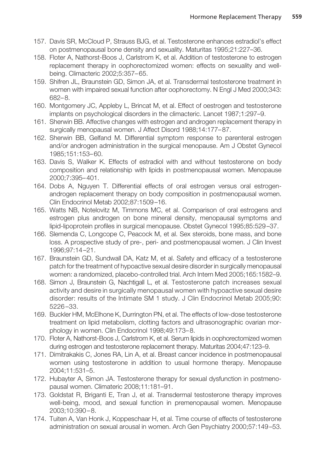- <span id="page-18-2"></span>157. Davis SR, McCloud P, Strauss BJG, et al. Testosterone enhances estradiol's effect on postmenopausal bone density and sexuality. Maturitas 1995;21:227–36.
- 158. Floter A, Nathorst-Boos J, Carlstrom K, et al. Addition of testosterone to estrogen replacement therapy in oophorectomized women: effects on sexuality and wellbeing. Climacteric 2002;5:357– 65.
- <span id="page-18-0"></span>159. Shifren JL, Braunstein GD, Simon JA, et al. Transdermal testosterone treatment in women with impaired sexual function after oophorectomy. N Engl J Med 2000;343: 682– 8.
- 160. Montgomery JC, Appleby L, Brincat M, et al. Effect of oestrogen and testosterone implants on psychological disorders in the climacteric. Lancet 1987;1:297–9.
- 161. Sherwin BB. Affective changes with estrogen and androgen replacement therapy in surgically menopausal women. J Affect Disord 1988;14:177-87.
- 162. Sherwin BB, Gelfand M. Differential symptom response to parenteral estrogen and/or androgen administration in the surgical menopause. Am J Obstet Gynecol 1985;151:153– 60.
- <span id="page-18-1"></span>163. Davis S, Walker K. Effects of estradiol with and without testosterone on body composition and relationship with lipids in postmenopausal women. Menopause 2000;7:395– 401.
- 164. Dobs A, Nguyen T. Differential effects of oral estrogen versus oral estrogenandrogen replacement therapy on body composition in postmenopausal women. Clin Endocrinol Metab 2002;87:1509 –16.
- 165. Watts NB, Notelovitz M, Timmons MC, et al. Comparison of oral estrogens and estrogen plus androgen on bone mineral density, menopausal symptoms and lipid-lipoprotein profiles in surgical menopause. Obstet Gynecol 1995;85:529 –37.
- 166. Slemenda C, Longcope C, Peacock M, et al. Sex steroids, bone mass, and bone loss. A prospective study of pre-, peri- and postmenopausal women. J Clin Invest 1996;97:14 –21.
- <span id="page-18-3"></span>167. Braunstein GD, Sundwall DA, Katz M, et al. Safety and efficacy of a testosterone patch for the treatment of hypoactive sexual desire disorder in surgically menopausal women: a randomized, placebo-controlled trial. Arch Intern Med 2005;165:1582–9.
- <span id="page-18-4"></span>168. Simon J, Braunstein G, Nachtigall L, et al. Testosterone patch increases sexual activity and desire in surgically menopausal women with hypoactive sexual desire disorder: results of the Intimate SM 1 study. J Clin Endocrinol Metab 2005;90: 5226 –33.
- 169. Buckler HM, McElhone K, Durrington PN, et al. The effects of low-dose testosterone treatment on lipid metabolism, clotting factors and ultrasonographic ovarian morphology in women. Clin Endocrinol 1998;49:173– 8.
- <span id="page-18-5"></span>170. Floter A, Nathorst-Boos J, Carlstrom K, et al. Serum lipids in oophorectomized women during estrogen and testosterone replacement therapy. Maturitas 2004;47:123–9.
- 171. Dimitrakakis C, Jones RA, Lin A, et al. Breast cancer incidence in postmenopausal women using testosterone in addition to usual hormone therapy. Menopause 2004;11:531–5.
- <span id="page-18-7"></span><span id="page-18-6"></span>172. Hubayter A, Simon JA. Testosterone therapy for sexual dysfunction in postmenopausal women. Climateric 2008;11:181–91.
- 173. Goldstat R, Briganti E, Tran J, et al. Transdermal testosterone therapy improves well-being, mood, and sexual function in premenopausal women. Menopause 2003;10:390 – 8.
- 174. Tuiten A, Van Honk J, Koppeschaar H, et al. Time course of effects of testosterone administration on sexual arousal in women. Arch Gen Psychiatry 2000;57:149 –53.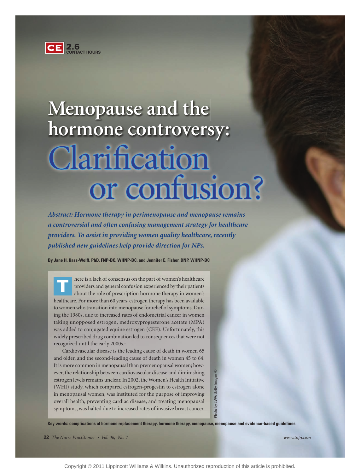

# **Menopause and the hormone controversy:**  Clarification or confusion?

*Abstract: Hormone therapy in perimenopause and menopause remains a controversial and often confusing management strategy for healthcare providers. To assist in providing women quality healthcare, recently published new guidelines help provide direction for NPs.* 

**By Jane H. Kass-Wolff, PhD, FNP-BC, WHNP-BC, and Jennifer E. Fisher, DNP, WHNP-BC**

here is a lack of consensus on the part of women's healthcare providers and general confusion experienced by their patients about the role of prescription hormone therapy in women's healthcare. For more than 60 years, estrogen therapy has been available to women who transition into menopause for relief of symptoms. During the 1980s, due to increased rates of endometrial cancer in women taking unopposed estrogen, medroxyprogesterone acetate (MPA) was added to conjugated equine estrogen (CEE). Unfortunately, this widely prescribed drug combination led to consequences that were not recognized until the early 2000s.<sup>1</sup> **T**

Cardiovascular disease is the leading cause of death in women 65 and older, and the second-leading cause of death in women 45 to 64. It is more common in menopausal than premenopausal women; however, the relationship between cardiovascular disease and diminishing estrogen levels remains unclear. In 2002, the Women's Health Initiative (WHI) study, which compared estrogen-progestin to estrogen alone in menopausal women, was instituted for the purpose of improving overall health, preventing cardiac disease, and treating menopausal symptoms, was halted due to increased rates of invasive breast cancer. **Key words: complications of hormone replacement therapy, hormone therapy, menopause, menopause and evidence-based guidelines**<br> **Key words: complications of hormone replacement therapy, hormone therapy, menopause, menopaus** 

**22** *The Nurse Practitioner • Vol. 36, No. 7 www.tnpj.com*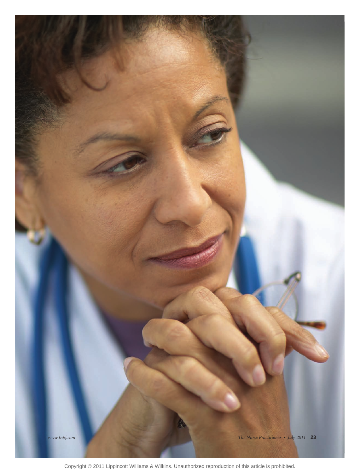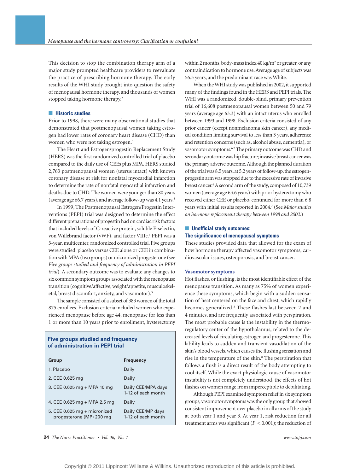This decision to stop the combination therapy arm of a major study prompted healthcare providers to reevaluate the practice of prescribing hormone therapy. The early results of the WHI study brought into question the safety of menopausal hormone therapy, and thousands of women stopped taking hormone therapy.<sup>2</sup>

#### ■ **Historic studies**

Prior to 1998, there were many observational studies that demonstrated that postmenopausal women taking estrogen had lower rates of coronary heart disease (CHD) than women who were not taking estrogen.<sup>3</sup>

The Heart and Estrogen/progestin Replacement Study (HERS) was the first randomized controlled trial of placebo compared to the daily use of CEEs plus MPA. HERS studied 2,763 postmenopausal women (uterus intact) with known coronary disease at risk for nonfatal myocardial infarction to determine the rate of nonfatal myocardial infarction and deaths due to CHD. The women were younger than 80 years (average age 66.7 years), and average follow-up was 4.1 years.3

In 1999, The Postmenopausal Estrogen/Progestin Interventions (PEPI) trial was designed to determine the effect different preparations of progestin had on cardiac risk factors that included levels of C-reactive protein, soluble E-selectin, von Willebrand factor (vWF), and factor VIIIc.<sup>4</sup> PEPI was a 3-year, multicenter, randomized controlled trial. Five groups were studied: placebo versus CEE alone or CEE in combination with MPA (two groups) or micronized progesterone (see *Five groups studied and frequency of administration in PEPI trial*). A secondary outcome was to evaluate any changes to six common symptom groups associated with the menopause transition (cognitive/affective, weight/appetite, musculoskeletal, breast discomfort, anxiety, and vasomotor).<sup>5</sup>

The sample consisted of a subset of 383 women of the total 875 enrollees. Exclusion criteria included women who experienced menopause before age 44, menopause for less than 1 or more than 10 years prior to enrollment, hysterectomy

#### **Five groups studied and frequency of administration in PEPI trial**

| Group                                                    | <b>Frequency</b>                         |
|----------------------------------------------------------|------------------------------------------|
| 1. Placebo                                               | Daily                                    |
| 2. CEE 0.625 mg                                          | Daily                                    |
| 3. CEE 0.625 mg + MPA 10 mg                              | Daily CEE/MPA days<br>1-12 of each month |
| 4. CEE 0.625 mg + MPA 2.5 mg                             | Daily                                    |
| 5. CEE 0.625 mg + micronized<br>progesterone (MP) 200 mg | Daily CEE/MP days<br>1-12 of each month  |

**24** *The Nurse Practitioner • Vol. 36, No. 7 www.tnpj.com*

within 2 months, body-mass index  $40 \text{ kg/m}^2$  or greater, or any contraindication to hormone use. Average age of subjects was 56.3 years, and the predominant race was White.

When the WHI study was published in 2002, it supported many of the findings found in the HERS and PEPI trials. The WHI was a randomized, double-blind, primary prevention trial of 16,608 postmenopausal women between 50 and 79 years (average age 63.3) with an intact uterus who enrolled between 1993 and 1998. Exclusion criteria consisted of any prior cancer (except nonmelanoma skin cancer), any medical condition limiting survival to less than 3 years, adherence and retention concerns (such as, alcohol abuse, dementia), or vasomotor symptoms.<sup>6,7</sup> The primary outcome was CHD and secondary outcome was hip fracture; invasive breast cancer was the primary adverse outcome. Although the planned duration of the trial was 8.5 years, at 5.2 years of follow-up, the estrogenprogestin arm was stopped due to the excessive rate of invasive breast cancer.6 A second arm of the study, composed of 10,739 women (average age 63.6 years) with prior hysterectomy who received either CEE or placebo, continued for more than 6.8 years with initial results reported in 2004.7 **(**See *Major studies on hormone replacement therapy between 1998 and 2002.*)

### ■ Unofficial study outcomes:

#### **The significance of menopausal symptoms**

These studies provided data that allowed for the exam of how hormone therapy affected vasomotor symptoms, cardiovascular issues, osteoporosis, and breast cancer.

#### **Vasomotor symptoms**

Hot flashes, or flushing, is the most identifiable effect of the menopause transition. As many as 75% of women experience these symptoms, which begin with a sudden sensation of heat centered on the face and chest, which rapidly becomes generalized.<sup>8</sup> These flashes last between 2 and 4 minutes, and are frequently associated with perspiration. The most probable cause is the instability in the thermoregulatory center of the hypothalamus, related to the decreased levels of circulating estrogen and progesterone. This lability leads to sudden and transient vasodilation of the skin's blood vessels, which causes the flushing sensation and rise in the temperature of the skin.<sup>8</sup> The perspiration that follows a flush is a direct result of the body attempting to cool itself. While the exact physiologic cause of vasomotor instability is not completely understood, the effects of hot flashes on women range from imperceptible to debilitating.

Although PEPI examined symptom relief in six symptom groups, vasomotor symptoms was the only group that showed consistent improvement over placebo in all arms of the study at both year 1 and year 3. At year 1, risk reduction for all treatment arms was significant ( $P < 0.001$ ); the reduction of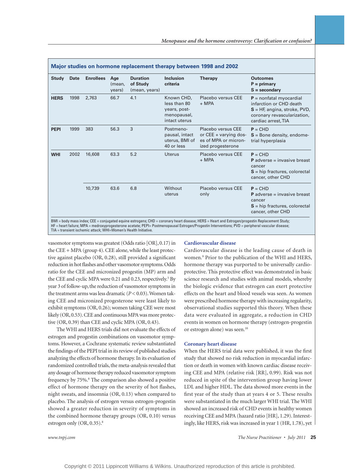| <b>Study</b> | <b>Date</b> | <b>Enrollees</b> | Age<br>(mean,<br>years) | <b>Duration</b><br>of Study<br>(mean, years) | <b>Inclusion</b><br>criteria                                               | <b>Therapy</b>                                                                                | <b>Outcomes</b><br>$P = primary$<br>$S =$ secondary                                                                                           |
|--------------|-------------|------------------|-------------------------|----------------------------------------------|----------------------------------------------------------------------------|-----------------------------------------------------------------------------------------------|-----------------------------------------------------------------------------------------------------------------------------------------------|
| <b>HERS</b>  | 1998        | 2,763            | 66.7                    | 4.1                                          | Known CHD,<br>less than 80<br>years, post-<br>menopausal,<br>intact uterus | Placebo versus CEE<br>$+$ MPA                                                                 | $P =$ nonfatal myocardial<br>infarction or CHD death<br>$S = HF$ , angina, stroke, PVD,<br>coronary revascularization,<br>cardiac arrest, TIA |
| <b>PEPI</b>  | 1999        | 383              | 56.3                    | 3                                            | Postmeno-<br>pausal, intact<br>uterus, BMI of<br>40 or less                | Placebo versus CEE<br>or $CEE + \nu$ arying dos-<br>es of MPA or micron-<br>ized progesterone | $P = CHD$<br>$S =$ Bone density, endome-<br>trial hyperplasia                                                                                 |
| <b>WHI</b>   | 2002        | 16,608           | 63.3                    | 5.2                                          | <b>Uterus</b>                                                              | Placebo versus CEE<br>$+$ MPA                                                                 | $P = CHD$<br><b>P</b> adverse $=$ invasive breast<br>cancer<br>$S = hip$ fractures, colorectal<br>cancer, other CHD                           |
|              |             | 10,739           | 63.6                    | 6.8                                          | Without<br>uterus                                                          | Placebo versus CEE<br>only                                                                    | $P = CHD$<br><b>P</b> adverse $=$ invasive breast<br>cancer<br>$S = hip$ fractures, colorectal<br>cancer, other CHD                           |

HF = heart failure; MPA = medroxyprogesterone acetate; PEPI= Postmenopausal Estrogen/Progestin Interventions; PVD = peripheral vascular disease; TIA = transient ischemic attack; WHI=Women's Health Initiative.

vasomotor symptoms was greatest (Odds ratio [OR], 0.17) in the CEE + MPA (group 4). CEE alone, while the least protective against placebo (OR, 0.28), still provided a significant reduction in hot flashes and other vasomotor symptoms. Odds ratio for the CEE and micronized progestin (MP) arm and the CEE and cyclic MPA were 0.21 and 0.23, respectively.<sup>5</sup> By year 3 of follow-up, the reduction of vasomotor symptoms in the treatment arms was less dramatic  $(P < 0.03)$ . Women taking CEE and micronized progesterone were least likely to exhibit symptoms (OR, 0.26); women taking CEE were most likely (OR, 0.53). CEE and continuous MPA was more protective (OR, 0.39) than CEE and cyclic MPA (OR, 0.43).

The WHI and HERS trials did not evaluate the effects of estrogen and progestin combinations on vasomotor symptoms. However, a Cochrane systematic review substantiated the findings of the PEPI trial in its review of published studies analyzing the effects of hormone therapy. In its evaluation of randomized controlled trials, the meta-analysis revealed that any dosage of hormone therapy reduced vasomotor symptom frequency by 75%.<sup>8</sup> The comparison also showed a positive effect of hormone therapy on the severity of hot flashes, night sweats, and insomnia (OR, 0.13) when compared to placebo. The analysis of estrogen versus estrogen-progestin showed a greater reduction in severity of symptoms in the combined hormone therapy groups (OR, 0.10) versus estrogen only (OR, 0.35).<sup>8</sup>

#### **Cardiovascular disease**

Cardiovascular disease is the leading cause of death in women.9 Prior to the publication of the WHI and HERS, hormone therapy was purported to be universally cardioprotective. This protective effect was demonstrated in basic science research and studies with animal models, whereby the biologic evidence that estrogen can exert protective effects on the heart and blood vessels was seen. As women were prescribed hormone therapy with increasing regularity, observational studies supported this theory. When these data were evaluated in aggregate, a reduction in CHD events in women on hormone therapy (estrogen-progestin or estrogen alone) was seen.10

#### **Coronary heart disease**

When the HERS trial data were published, it was the first study that showed no risk reduction in myocardial infarction or death in women with known cardiac disease receiving CEE and MPA (relative risk [RR], 0.99). Risk was not reduced in spite of the intervention group having lower LDL and higher HDL. The data showed more events in the first year of the study than at years 4 or 5. These results were substantiated in the much larger WHI trial. The WHI showed an increased risk of CHD events in healthy women receiving CEE and MPA (hazard ratio [HR], 1.29). Interestingly, like HERS, risk was increased in year 1 (HR, 1.78), yet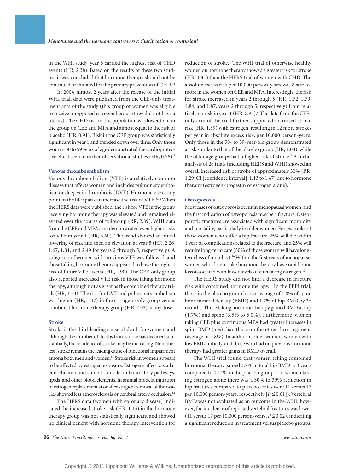in the WHI study, year 5 carried the highest risk of CHD events (HR, 2.38). Based on the results of these two studies, it was concluded that hormone therapy should not be continued or initiated for the primary prevention of CHD.<sup>11</sup>

In 2004, almost 2 years after the release of the initial WHI trial, data were published from the CEE-only treatment arm of the study (this group of women was eligible to receive unopposed estrogen because they did not have a uterus). The CHD risk in this population was lower than in the group on CEE and MPA and almost equal to the risk of placebo (HR, 0.91). Risk in the CEE group was statistically significant in year 1 and trended down over time. Only those women 50 to 59 years of age demonstrated the cardioprotective effect seen in earlier observational studies (HR, 0.56).<sup>7</sup>

#### **Venous thromboembolism**

Venous thromboembolism (VTE) is a relatively common disease that affects women and includes pulmonary embolism or deep vein thrombosis (DVT). Hormone use at any point in the life span can increase the risk of VTE.<sup>6,12</sup> When the HERS data were published, the risk for VTE in the group receiving hormone therapy was elevated and remained elevated over the course of follow-up (RR, 2.89). WHI data from the CEE and MPA arm demonstrated even higher risks for VTE in year 1 (HR, 3.60). The trend showed an initial lowering of risk and then an elevation at year 5 (HR, 2.26, 1.67, 1.84, and 2.49 for years 2 through 5, respectively). A subgroup of women with previous VTE was followed, and those taking hormone therapy appeared to have the highest risk of future VTE events (HR, 4.90). The CEE-only group also reported increased VTE risk in those taking hormone therapy, although not as great as the combined therapy trials (HR, 1.33). The risk for DVT and pulmonary embolism was higher (HR, 1.47) in the estrogen-only group versus combined hormone therapy group (HR, 2.07) at any dose.7

#### **Stroke**

Stroke is the third-leading cause of death for women, and although the number of deaths from stroke has declined substantially, the incidence of stroke may be increasing. Nonetheless, stroke remains the leading cause of functional impairment among both men and women.13 Stroke risk in women appears to be affected by estrogen exposure. Estrogens affect vascular endothelium and smooth muscle, inflammatory pathways, lipids, and other blood elements. In animal models, initiation of estrogen replacement at or after surgical removal of the ovaries showed less atherosclerosis or cerebral artery occlusion.14

The HERS data (women with coronary disease) indicated the increased stroke risk (HR, 1.13) in the hormone therapy group was not statistically significant and showed no clinical benefit with hormone therapy intervention for

reduction of stroke.<sup>3</sup> The WHI trial of otherwise healthy women on hormone therapy showed a greater risk for stroke (HR, 1.41) than the HERS trial of women with CHD. The absolute excess risk per 10,000 person-years was 8 strokes more in the women on CEE and MPA. Interestingly, the risk for stroke increased in years 2 through 5 (HR, 1.72, 1.79, 1.84, and 1.87, years 2 through 5, respectively) from relatively no risk in year 1 (HR, 0.95).<sup>6</sup> The data from the CEEonly arm of the trial further supported increased stroke risk (HR, 1.39) with estrogen, resulting in 12 more strokes per year in absolute excess risk, per 10,000 person-years. Only those in the 50- to 59-year-old group demonstrated a risk similar to that of the placebo group (HR, 1.08), while the older age groups had a higher risk of stroke.<sup>7</sup> A metaanalysis of 28 trials (including HERS and WHI) showed an overall increased risk of stroke of approximately 30% (RR, 1.29; CI [confidence interval], 1.13 to 1.47) due to hormone therapy (estrogen-progestin or estrogen alone).<sup>15</sup>

#### **Osteoporosis**

Most cases of osteoporosis occur in menopausal women, and the first indication of osteoporosis may be a fracture. Osteoporotic fractures are associated with significant morbidity and mortality, particularly in older women. For example, of those women who suffer a hip fracture, 25% will die within 1 year of complications related to the fracture, and 25% will require long-term care (50% of those women will have longterm loss of mobility).<sup>16</sup> Within the first years of menopause, women who do not take hormone therapy have rapid bone loss associated with lower levels of circulating estrogen.<sup>17</sup>

The HERS study did not find a decrease in fracture risk with combined hormone therapy.18 In the PEPI trial, those in the placebo group lost an average of 1.8% of spine bone mineral density (BMD) and 1.7% of hip BMD by 36 months. Those taking hormone therapy gained BMD at hip (1.7%) and spine (3.5% to 5.0%). Furthermore, women taking CEE plus continuous MPA had greater increases in spine BMD (5%) than those on the other three regimens (average of 3.8%). In addition, older women, women with low BMD initially, and those who had no previous hormone therapy had greater gains in BMD overall.<sup>19</sup>

The WHI trial found that women taking combined hormonal therapy gained 3.7% in total hip BMD in 3 years compared to 0.14% in the placebo group.<sup>11</sup> In women taking estrogen alone there was a 30% to 39% reduction in hip fractures compared to placebo (rates were 11 versus 17 per 10,000 person-years, respectively [*P* ≤ 0.01]). Vertebral BMD was not evaluated as an outcome in the WHI; however, the incidence of reported vertebral fractures was lower (11 versus 17 per 10,000 person-years, *P* ≤ 0.02), indicating a significant reduction in treatment versus placebo groups.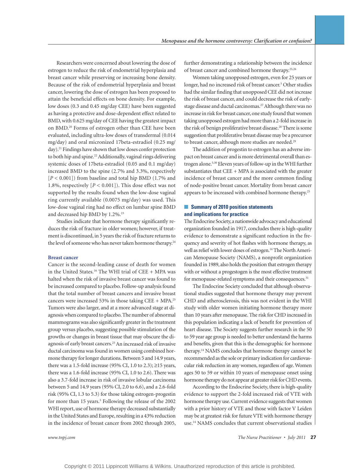Researchers were concerned about lowering the dose of estrogen to reduce the risk of endometrial hyperplasia and breast cancer while preserving or increasing bone density. Because of the risk of endometrial hyperplasia and breast cancer, lowering the dose of estrogen has been proposed to attain the beneficial effects on bone density. For example, low doses (0.3 and 0.45 mg/day CEE) have been suggested as having a protective and dose-dependent effect related to BMD, with 0.625 mg/day of CEE having the greatest impact on BMD.20 Forms of estrogen other than CEE have been evaluated, including ultra-low doses of transdermal (0.014 mg/day) and oral micronized 17beta-estradiol (0.25 mg/ day).<sup>21</sup> Findings have shown that low doses confer protection to both hip and spine.<sup>22</sup> Additionally, vaginal rings delivering systemic doses of 17beta-estradiol (0.05 and 0.1 mg/day) increased BMD to the spine (2.7% and 3.3%, respectively [*P* < 0.001]) from baseline and total hip BMD (1.7% and 1.8%, respectively [*P* < 0.001]). This dose effect was not supported by the results found when the low-dose vaginal ring currently available (0.0075 mg/day) was used. This low-dose vaginal ring had no effect on lumbar spine BMD and decreased hip BMD by 1.2%.<sup>23</sup>

Studies indicate that hormone therapy significantly reduces the risk of fracture in older women; however, if treatment is discontinued, in 5 years the risk of fracture returns to the level of someone who has never taken hormone therapy.<sup>24</sup>

#### **Breast cancer**

Cancer is the second-leading cause of death for women in the United States.16 The WHI trial of CEE + MPA was halted when the risk of invasive breast cancer was found to be increased compared to placebo. Follow-up analysis found that the total number of breast cancers and invasive breast cancers were increased 53% in those taking CEE + MPA.<sup>25</sup> Tumors were also larger, and at a more advanced stage at diagnosis when compared to placebo. The number of abnormal mammograms was also significantly greater in the treatment group versus placebo, suggesting possible stimulation of the growths or changes in breast tissue that may obscure the diagnosis of early breast cancers.25 An increased risk of invasive ductal carcinoma was found in women using combined hormone therapy for longer durations. Between 5 and 14.9 years, there was a 1.5-fold increase (95% CI, 1.0 to 2.3);  $\geq$ 15 years, there was a 1.6-fold increase (95% CI, 1.0 to 2.6). There was also a 3.7-fold increase in risk of invasive lobular carcinoma between 5 and 14.9 years (95% CI, 2.0 to 6.6), and a 2.6-fold risk (95% CI, 1.3 to 5.3) for those taking estrogen-progestin for more than 15 years.<sup>5</sup> Following the release of the 2002 WHI report, use of hormone therapy decreased substantially in the United States and Europe, resulting in a 43% reduction in the incidence of breast cancer from 2002 through 2005,

further demonstrating a relationship between the incidence of breast cancer and combined hormone therapy.25,26

Women taking unopposed estrogen, even for 25 years or longer, had no increased risk of breast cancer.<sup>5</sup> Other studies had the similar finding that unopposed CEE did not increase the risk of breast cancer, and could decrease the risk of earlystage disease and ductal carcinomas.<sup>27</sup> Although there was no increase in risk for breast cancer, one study found that women taking unopposed estrogen had more than a 2-fold increase in the risk of benign proliferative breast disease.<sup>28</sup> There is some suggestion that proliferative breast disease may be a precursor to breast cancer, although more studies are needed.<sup>29</sup>

The addition of progestin to estrogen has an adverse impact on breast cancer and is more detrimental overall than estrogen alone.5,30 Eleven years of follow-up in the WHI further substantiates that  $CEE + MPA$  is associated with the greater incidence of breast cancer and the more common finding of node-positive breast cancer. Mortality from breast cancer appears to be increased with combined hormone therapy.25

#### ■ Summary of 2010 position statements **and implications for practice**

The Endocrine Society, a nationwide advocacy and educational organization founded in 1917, concludes there is high-quality evidence to demonstrate a significant reduction in the frequency and severity of hot flashes with hormone therapy, as well as relief with lower doses of estrogen.<sup>14</sup> The North American Menopause Society (NAMS), a nonprofit organization founded in 1989, also holds the position that estrogen therapy with or without a progestogen is the most effective treatment for menopause-related symptoms and their consequences.<sup>31</sup>

The Endocrine Society concluded that although observational studies suggested that hormone therapy may prevent CHD and atherosclerosis, this was not evident in the WHI study with older women initiating hormone therapy more than 10 years after menopause. The risk for CHD increased in this population indicating a lack of benefit for prevention of heart disease. The Society suggests further research in the 50 to 59 year age group is needed to better understand the harms and benefits, given that this is the demographic for hormone therapy.14 NAMS concludes that hormone therapy cannot be recommended as the sole or primary indication for cardiovascular risk reduction in any women, regardless of age. Women ages 50 to 59 or within 10 years of menopause onset using hormone therapy do not appear at greater risk for CHD events.

According to the Endocrine Society, there is high-quality evidence to support the 2-fold increased risk of VTE with hormone therapy use. Current evidence suggests that women with a prior history of VTE and those with factor V Leiden may be at greatest risk for future VTE with hormone therapy use.14 NAMS concludes that current observational studies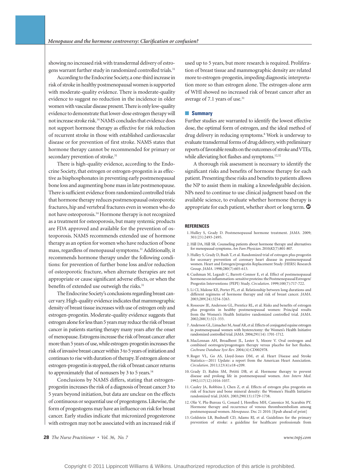showing no increased risk with transdermal delivery of estrogens warrant further study in randomized controlled trials.<sup>31</sup>

According to the Endocrine Society, a one-third increase in risk of stroke in healthy postmenopausal women is supported with moderate-quality evidence. There is moderate-quality evidence to suggest no reduction in the incidence in older women with vascular disease present. There is only low-quality evidence to demonstrate that lower-dose estrogen therapy will not increase stroke risk.14 NAMS concludes that evidence does not support hormone therapy as effective for risk reduction of recurrent stroke in those with established cardiovascular disease or for prevention of first stroke. NAMS states that hormone therapy cannot be recommended for primary or secondary prevention of stroke.<sup>31</sup>

There is high-quality evidence, according to the Endocrine Society, that estrogen or estrogen-progestin is as effective as bisphosphonates in preventing early postmenopausal bone loss and augmenting bone mass in late postmenopause. There is sufficient evidence from randomized controlled trials that hormone therapy reduces postmenopausal osteoporotic fractures, hip and vertebral fractures even in women who do not have osteoporosis.14 Hormone therapy is not recognized as a treatment for osteoporosis, but many systemic products are FDA approved and available for the prevention of osteoporosis. NAMS recommends extended use of hormone therapy as an option for women who have reduction of bone mass, regardless of menopausal symptoms.31 Additionally, it recommends hormone therapy under the following conditions: for prevention of further bone loss and/or reduction of osteoporotic fracture, when alternate therapies are not appropriate or cause significant adverse effects, or when the benefits of extended use outweigh the risks.<sup>31</sup>

The Endocrine Society's conclusions regarding breast cancer vary. High-quality evidence indicates that mammographic density of breast tissue increases with use of estrogen only and estrogen-progestin. Moderate-quality evidence suggests that estrogen alone for less than 5 years may reduce the risk of breast cancer in patients starting therapy many years after the onset of menopause. Estrogens increase the risk of breast cancer after more than 5 years of use, while estrogen-progestin increases the risk of invasive breast cancer within 3 to 5 years of initiation and continues to rise with duration of therapy. If estrogen alone or estrogen-progestin is stopped, the risk of breast cancer returns to approximately that of nonusers by 3 to 5 years.<sup>14</sup>

Conclusions by NAMS differs, stating that estrogenprogestin increases the risk of a diagnosis of breast cancer 3 to 5 years beyond initiation, but data are unclear on the effects of continuous or sequential use of progestogens. Likewise, the form of progestogens may have an influence on risk for breast cancer. Early studies indicate that micronized progesterone with estrogen may not be associated with an increased risk if used up to 5 years, but more research is required. Proliferation of breast tissue and mammographic density are related more to estrogen-progestin, impeding diagnostic interpretation more so than estrogen alone. The estrogen-alone arm of WHI showed no increased risk of breast cancer after an average of 7.1 years of use.<sup>31</sup>

#### ■ **Summary**

Further studies are warranted to identify the lowest effective dose, the optimal form of estrogen, and the ideal method of drug delivery in reducing symptoms.<sup>8</sup> Work is underway to evaluate transdermal forms of drug delivery, with preliminary reports of favorable results on the outcomes of stroke and VTEs, while alleviating hot flashes and symptoms.<sup>12,32</sup>

A thorough risk assessment is necessary to identify the significant risks and benefits of hormone therapy for each patient. Presenting these risks and benefits to patients allows the NP to assist them in making a knowledgeable decision. NPs need to continue to use clinical judgment based on the available science, to evaluate whether hormone therapy is appropriate for each patient, whether short or long term.

#### **REFERENCES**

- 1. Hulley S, Grady D. Postmenopausal hormone treatment. *JAMA.* 2009; 301(23):2493-2495.
- 2. Hill DA, Hill SR. Counseling patients about hormone therapy and alternatives for menopausal symptoms. *Am Fam Physician*. 2010;82(7):801-807.
- 3. Hulley S, Grady D, Bush T, et al. Randomized trial of estrogen plus progestin for seconary prevention of coronary heart disease in postmenopausal women. Heart and Estrogen/progestin Replacement Study (HERS) Research Group. *JAMA*. 1998;280(7):605-613.
- 4. Cushman M, Legault C, Barrett-Connor E, et al. Effect of postmenopausal hormones on inflammation-sensitive proteins: the Postmenopausal Estrogen/ Progestin Interventions (PEPI) Study. *Circulation*. 1999;100(7):717-722.
- 5. Li CI, Malone KE, Porter PL, et al. Relationship between long durations and different regimens of hormone therapy and risk of breast cancer. *JAMA*. 2003;289(24):3254-3263.
- 6. Rossouw JE, Anderson GL, Prentice RL, et al. Risks and benefits of estrogen plus progestin in healthy postmenopausal women: Principal results from the Women's Health Initiative randomized controlled trial. *JAMA*. 2002;288(3):321-333.
- 7. Anderson GL, Limacher M, Assaf AR, et al. Effects of conjugated equine estrogen in postmenopuasal women with hysterectomy: the Women's Health Initiative randomized controlled trial. *JAMA.* 2004;291(14): 1701-1712.
- 8. MacLennan AH, Broadbent JL, Lester S, Moore V. Oral oestrogen and combined oestrogen/progestogen therapy versus placebo for hot flushes. *Cochrane Database Syst Rev.* 2004;(4):CD002978.
- 9. Roger VL, Go AS, Lloyd-Jones DM, et al. Heart Disease and Stroke Statistics—2011 Update: a report from the American Heart Association. *Circulation*. 2011;123(4):e18-e209.
- 10. Grady D, Rubin SM, Petitti DB, et al. Hormone therapy to prevent disease and prolong life in postmenopausal women. *Ann Intern Med*. 1992;117(12):1016-1037.
- 11. Cauley JA, Robbins J, Chen Z, et al. Effects of estrogen plus progestin on risk of fracture and bone mineral density: the Women's Health Initiative randomized trial. *JAMA.* 2003;290(13):1729-1738.
- 12. Olie V, Plu-Bureau G, Conard J, Horellou MH, Canonico M, Scarabin PY. Hormone therapy and recurrence of venous thromboembolism among postmenopausal women. *Menopause.* Dec 21 2010. [Epub ahead of print]
- 13. Goldstein LB, Bushnell CD, Adams RJ, et al. Guidelines for the primary prevention of stroke: a guideline for healthcare professionals from

**28** *The Nurse Practitioner • Vol. 36, No. 7 www.tnpj.com*